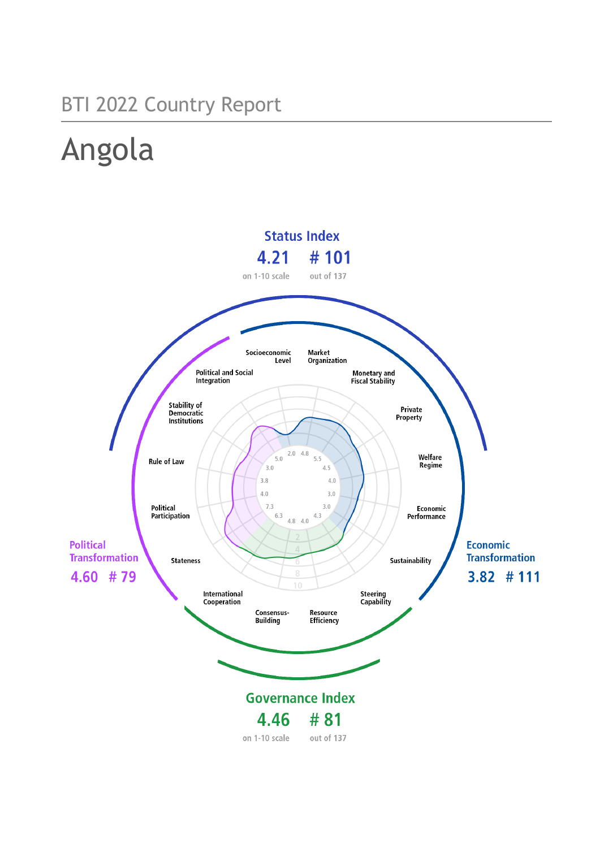# BTI 2022 Country Report

# Angola

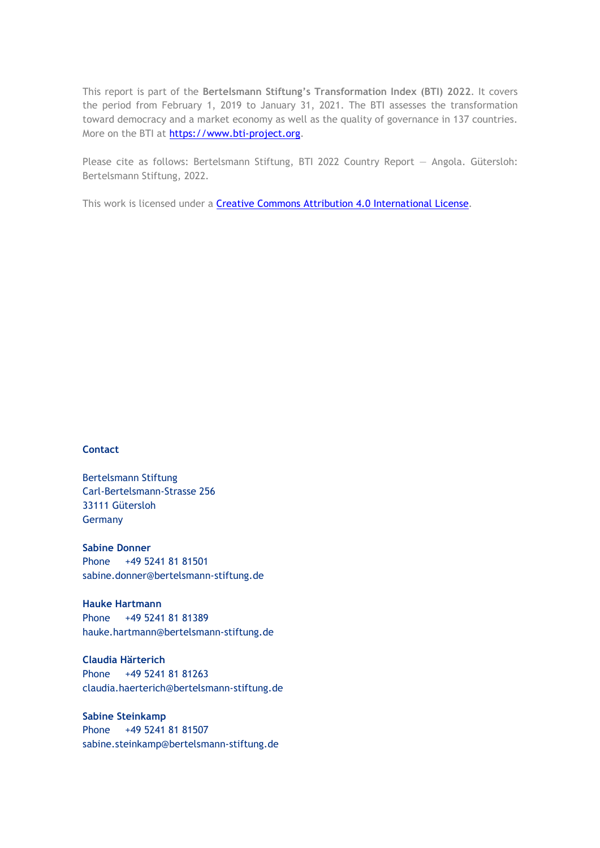This report is part of the **Bertelsmann Stiftung's Transformation Index (BTI) 2022**. It covers the period from February 1, 2019 to January 31, 2021. The BTI assesses the transformation toward democracy and a market economy as well as the quality of governance in 137 countries. More on the BTI at [https://www.bti-project.org.](https://www.bti-project.org/)

Please cite as follows: Bertelsmann Stiftung, BTI 2022 Country Report — Angola. Gütersloh: Bertelsmann Stiftung, 2022.

This work is licensed under a **Creative Commons Attribution 4.0 International License**.

#### **Contact**

Bertelsmann Stiftung Carl-Bertelsmann-Strasse 256 33111 Gütersloh Germany

**Sabine Donner** Phone +49 5241 81 81501 sabine.donner@bertelsmann-stiftung.de

**Hauke Hartmann** Phone +49 5241 81 81389 hauke.hartmann@bertelsmann-stiftung.de

**Claudia Härterich** Phone +49 5241 81 81263 claudia.haerterich@bertelsmann-stiftung.de

#### **Sabine Steinkamp** Phone +49 5241 81 81507 sabine.steinkamp@bertelsmann-stiftung.de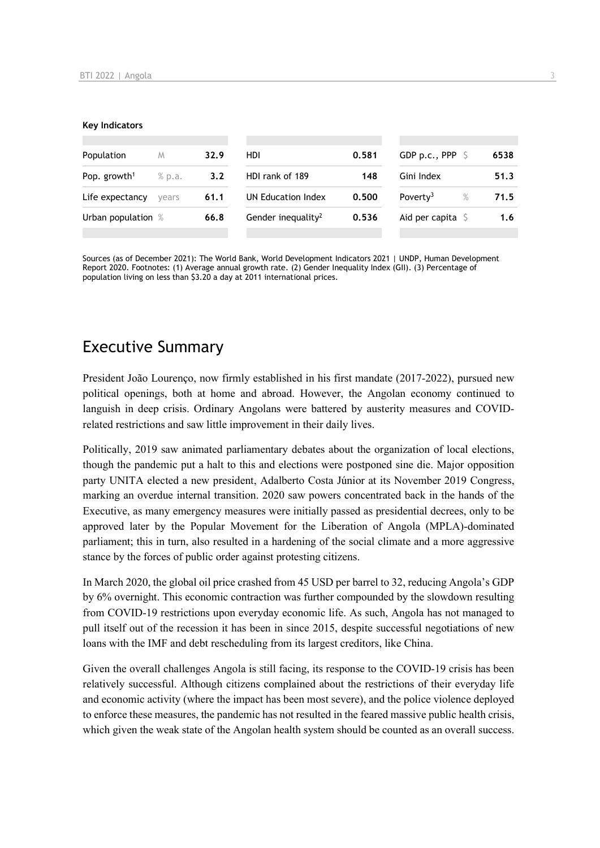#### **Key Indicators**

| Population               | M      | 32.9 | HDI                            | 0.581 | GDP p.c., PPP $\ S$          | 6538 |
|--------------------------|--------|------|--------------------------------|-------|------------------------------|------|
| Pop. growth <sup>1</sup> | % p.a. | 3.2  | HDI rank of 189                | 148   | Gini Index                   | 51.3 |
| Life expectancy          | vears  | 61.1 | UN Education Index             | 0.500 | $\%$<br>Poverty <sup>3</sup> | 71.5 |
| Urban population %       |        | 66.8 | Gender inequality <sup>2</sup> | 0.536 | Aid per capita $\sqrt{5}$    | 1.6  |
|                          |        |      |                                |       |                              |      |

Sources (as of December 2021): The World Bank, World Development Indicators 2021 | UNDP, Human Development Report 2020. Footnotes: (1) Average annual growth rate. (2) Gender Inequality Index (GII). (3) Percentage of population living on less than \$3.20 a day at 2011 international prices.

## Executive Summary

President João Lourenço, now firmly established in his first mandate (2017-2022), pursued new political openings, both at home and abroad. However, the Angolan economy continued to languish in deep crisis. Ordinary Angolans were battered by austerity measures and COVIDrelated restrictions and saw little improvement in their daily lives.

Politically, 2019 saw animated parliamentary debates about the organization of local elections, though the pandemic put a halt to this and elections were postponed sine die. Major opposition party UNITA elected a new president, Adalberto Costa Júnior at its November 2019 Congress, marking an overdue internal transition. 2020 saw powers concentrated back in the hands of the Executive, as many emergency measures were initially passed as presidential decrees, only to be approved later by the Popular Movement for the Liberation of Angola (MPLA)-dominated parliament; this in turn, also resulted in a hardening of the social climate and a more aggressive stance by the forces of public order against protesting citizens.

In March 2020, the global oil price crashed from 45 USD per barrel to 32, reducing Angola's GDP by 6% overnight. This economic contraction was further compounded by the slowdown resulting from COVID-19 restrictions upon everyday economic life. As such, Angola has not managed to pull itself out of the recession it has been in since 2015, despite successful negotiations of new loans with the IMF and debt rescheduling from its largest creditors, like China.

Given the overall challenges Angola is still facing, its response to the COVID-19 crisis has been relatively successful. Although citizens complained about the restrictions of their everyday life and economic activity (where the impact has been most severe), and the police violence deployed to enforce these measures, the pandemic has not resulted in the feared massive public health crisis, which given the weak state of the Angolan health system should be counted as an overall success.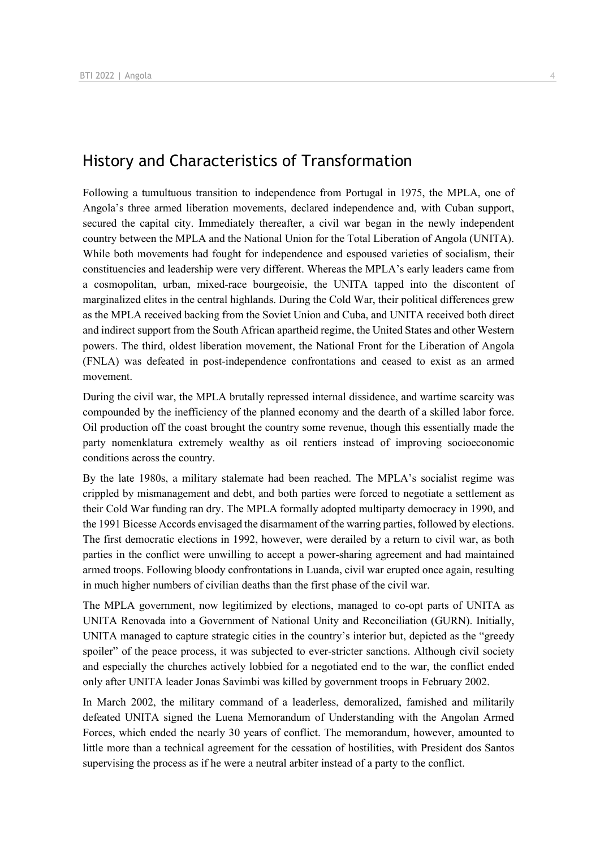## History and Characteristics of Transformation

Following a tumultuous transition to independence from Portugal in 1975, the MPLA, one of Angola's three armed liberation movements, declared independence and, with Cuban support, secured the capital city. Immediately thereafter, a civil war began in the newly independent country between the MPLA and the National Union for the Total Liberation of Angola (UNITA). While both movements had fought for independence and espoused varieties of socialism, their constituencies and leadership were very different. Whereas the MPLA's early leaders came from a cosmopolitan, urban, mixed-race bourgeoisie, the UNITA tapped into the discontent of marginalized elites in the central highlands. During the Cold War, their political differences grew as the MPLA received backing from the Soviet Union and Cuba, and UNITA received both direct and indirect support from the South African apartheid regime, the United States and other Western powers. The third, oldest liberation movement, the National Front for the Liberation of Angola (FNLA) was defeated in post-independence confrontations and ceased to exist as an armed movement.

During the civil war, the MPLA brutally repressed internal dissidence, and wartime scarcity was compounded by the inefficiency of the planned economy and the dearth of a skilled labor force. Oil production off the coast brought the country some revenue, though this essentially made the party nomenklatura extremely wealthy as oil rentiers instead of improving socioeconomic conditions across the country.

By the late 1980s, a military stalemate had been reached. The MPLA's socialist regime was crippled by mismanagement and debt, and both parties were forced to negotiate a settlement as their Cold War funding ran dry. The MPLA formally adopted multiparty democracy in 1990, and the 1991 Bicesse Accords envisaged the disarmament of the warring parties, followed by elections. The first democratic elections in 1992, however, were derailed by a return to civil war, as both parties in the conflict were unwilling to accept a power-sharing agreement and had maintained armed troops. Following bloody confrontations in Luanda, civil war erupted once again, resulting in much higher numbers of civilian deaths than the first phase of the civil war.

The MPLA government, now legitimized by elections, managed to co-opt parts of UNITA as UNITA Renovada into a Government of National Unity and Reconciliation (GURN). Initially, UNITA managed to capture strategic cities in the country's interior but, depicted as the "greedy spoiler" of the peace process, it was subjected to ever-stricter sanctions. Although civil society and especially the churches actively lobbied for a negotiated end to the war, the conflict ended only after UNITA leader Jonas Savimbi was killed by government troops in February 2002.

In March 2002, the military command of a leaderless, demoralized, famished and militarily defeated UNITA signed the Luena Memorandum of Understanding with the Angolan Armed Forces, which ended the nearly 30 years of conflict. The memorandum, however, amounted to little more than a technical agreement for the cessation of hostilities, with President dos Santos supervising the process as if he were a neutral arbiter instead of a party to the conflict.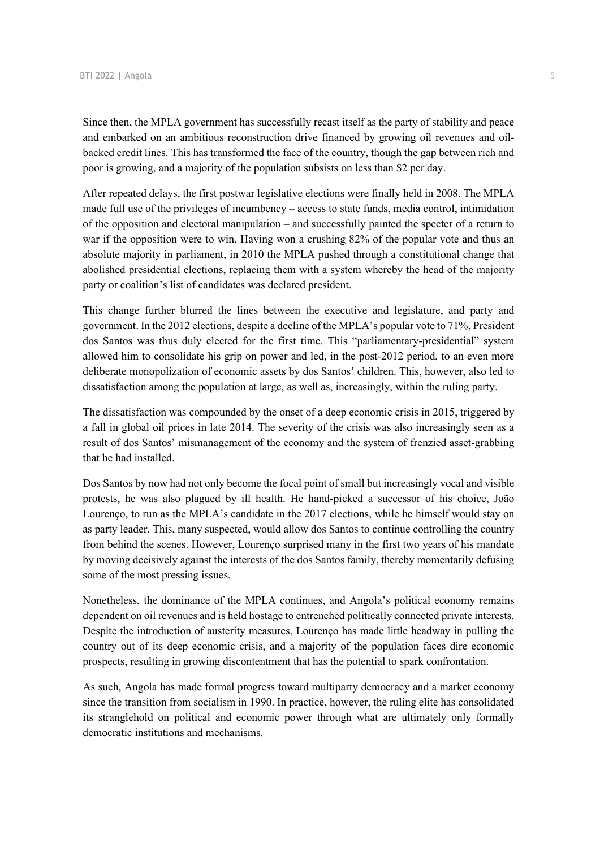Since then, the MPLA government has successfully recast itself as the party of stability and peace and embarked on an ambitious reconstruction drive financed by growing oil revenues and oilbacked credit lines. This has transformed the face of the country, though the gap between rich and poor is growing, and a majority of the population subsists on less than \$2 per day.

After repeated delays, the first postwar legislative elections were finally held in 2008. The MPLA made full use of the privileges of incumbency – access to state funds, media control, intimidation of the opposition and electoral manipulation – and successfully painted the specter of a return to war if the opposition were to win. Having won a crushing 82% of the popular vote and thus an absolute majority in parliament, in 2010 the MPLA pushed through a constitutional change that abolished presidential elections, replacing them with a system whereby the head of the majority party or coalition's list of candidates was declared president.

This change further blurred the lines between the executive and legislature, and party and government. In the 2012 elections, despite a decline of the MPLA's popular vote to 71%, President dos Santos was thus duly elected for the first time. This "parliamentary-presidential" system allowed him to consolidate his grip on power and led, in the post-2012 period, to an even more deliberate monopolization of economic assets by dos Santos' children. This, however, also led to dissatisfaction among the population at large, as well as, increasingly, within the ruling party.

The dissatisfaction was compounded by the onset of a deep economic crisis in 2015, triggered by a fall in global oil prices in late 2014. The severity of the crisis was also increasingly seen as a result of dos Santos' mismanagement of the economy and the system of frenzied asset-grabbing that he had installed.

Dos Santos by now had not only become the focal point of small but increasingly vocal and visible protests, he was also plagued by ill health. He hand-picked a successor of his choice, João Lourenço, to run as the MPLA's candidate in the 2017 elections, while he himself would stay on as party leader. This, many suspected, would allow dos Santos to continue controlling the country from behind the scenes. However, Lourenço surprised many in the first two years of his mandate by moving decisively against the interests of the dos Santos family, thereby momentarily defusing some of the most pressing issues.

Nonetheless, the dominance of the MPLA continues, and Angola's political economy remains dependent on oil revenues and is held hostage to entrenched politically connected private interests. Despite the introduction of austerity measures, Lourenço has made little headway in pulling the country out of its deep economic crisis, and a majority of the population faces dire economic prospects, resulting in growing discontentment that has the potential to spark confrontation.

As such, Angola has made formal progress toward multiparty democracy and a market economy since the transition from socialism in 1990. In practice, however, the ruling elite has consolidated its stranglehold on political and economic power through what are ultimately only formally democratic institutions and mechanisms.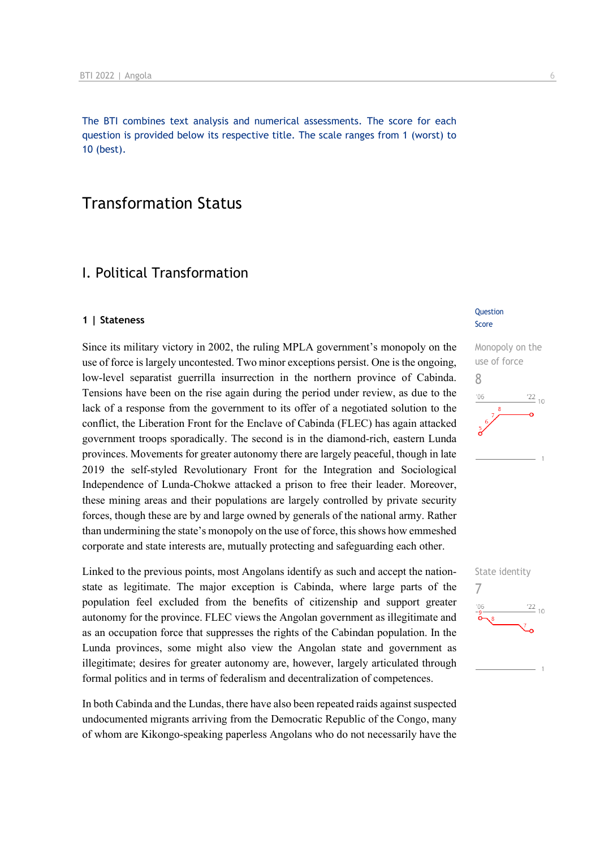The BTI combines text analysis and numerical assessments. The score for each question is provided below its respective title. The scale ranges from 1 (worst) to 10 (best).

## Transformation Status

## I. Political Transformation

#### **1 | Stateness**

Since its military victory in 2002, the ruling MPLA government's monopoly on the use of force is largely uncontested. Two minor exceptions persist. One is the ongoing, low-level separatist guerrilla insurrection in the northern province of Cabinda. Tensions have been on the rise again during the period under review, as due to the lack of a response from the government to its offer of a negotiated solution to the conflict, the Liberation Front for the Enclave of Cabinda (FLEC) has again attacked government troops sporadically. The second is in the diamond-rich, eastern Lunda provinces. Movements for greater autonomy there are largely peaceful, though in late 2019 the self-styled Revolutionary Front for the Integration and Sociological Independence of Lunda-Chokwe attacked a prison to free their leader. Moreover, these mining areas and their populations are largely controlled by private security forces, though these are by and large owned by generals of the national army. Rather than undermining the state's monopoly on the use of force, this shows how emmeshed corporate and state interests are, mutually protecting and safeguarding each other.

Linked to the previous points, most Angolans identify as such and accept the nationstate as legitimate. The major exception is Cabinda, where large parts of the population feel excluded from the benefits of citizenship and support greater autonomy for the province. FLEC views the Angolan government as illegitimate and as an occupation force that suppresses the rights of the Cabindan population. In the Lunda provinces, some might also view the Angolan state and government as illegitimate; desires for greater autonomy are, however, largely articulated through formal politics and in terms of federalism and decentralization of competences.

In both Cabinda and the Lundas, there have also been repeated raids against suspected undocumented migrants arriving from the Democratic Republic of the Congo, many of whom are Kikongo-speaking paperless Angolans who do not necessarily have the

#### **Question** Score





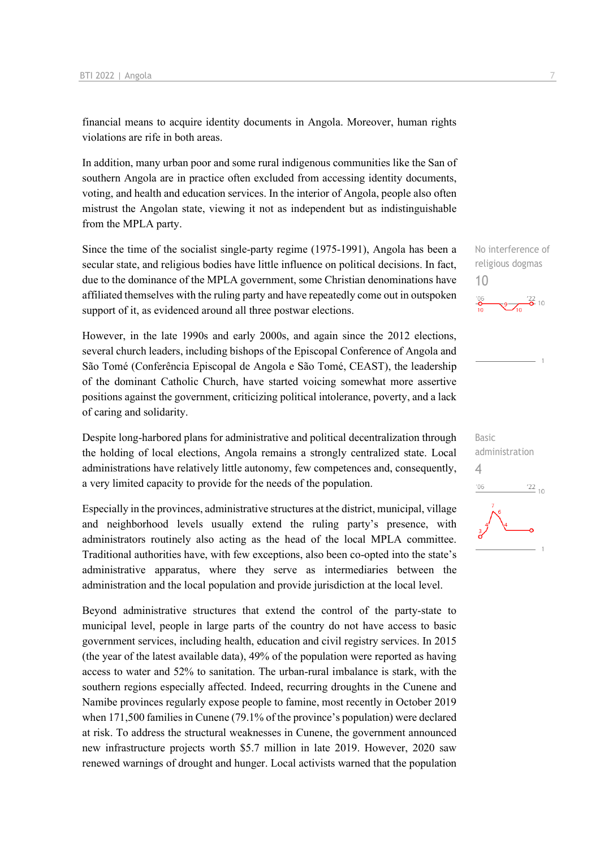financial means to acquire identity documents in Angola. Moreover, human rights violations are rife in both areas.

In addition, many urban poor and some rural indigenous communities like the San of southern Angola are in practice often excluded from accessing identity documents, voting, and health and education services. In the interior of Angola, people also often mistrust the Angolan state, viewing it not as independent but as indistinguishable from the MPLA party.

Since the time of the socialist single-party regime (1975-1991), Angola has been a secular state, and religious bodies have little influence on political decisions. In fact, due to the dominance of the MPLA government, some Christian denominations have affiliated themselves with the ruling party and have repeatedly come out in outspoken support of it, as evidenced around all three postwar elections.

However, in the late 1990s and early 2000s, and again since the 2012 elections, several church leaders, including bishops of the Episcopal Conference of Angola and São Tomé (Conferência Episcopal de Angola e São Tomé, CEAST), the leadership of the dominant Catholic Church, have started voicing somewhat more assertive positions against the government, criticizing political intolerance, poverty, and a lack of caring and solidarity.

Despite long-harbored plans for administrative and political decentralization through the holding of local elections, Angola remains a strongly centralized state. Local administrations have relatively little autonomy, few competences and, consequently, a very limited capacity to provide for the needs of the population.

Especially in the provinces, administrative structures at the district, municipal, village and neighborhood levels usually extend the ruling party's presence, with administrators routinely also acting as the head of the local MPLA committee. Traditional authorities have, with few exceptions, also been co-opted into the state's administrative apparatus, where they serve as intermediaries between the administration and the local population and provide jurisdiction at the local level.

Beyond administrative structures that extend the control of the party-state to municipal level, people in large parts of the country do not have access to basic government services, including health, education and civil registry services. In 2015 (the year of the latest available data), 49% of the population were reported as having access to water and 52% to sanitation. The urban-rural imbalance is stark, with the southern regions especially affected. Indeed, recurring droughts in the Cunene and Namibe provinces regularly expose people to famine, most recently in October 2019 when 171,500 families in Cunene (79.1% of the province's population) were declared at risk. To address the structural weaknesses in Cunene, the government announced new infrastructure projects worth \$5.7 million in late 2019. However, 2020 saw renewed warnings of drought and hunger. Local activists warned that the population

No interference of religious dogmas 10  $\frac{22}{2}$  10

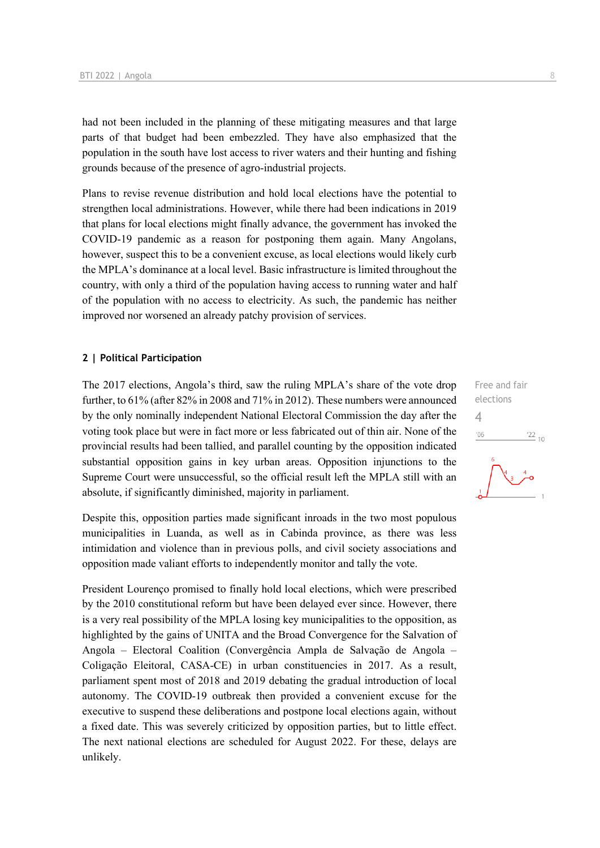had not been included in the planning of these mitigating measures and that large parts of that budget had been embezzled. They have also emphasized that the population in the south have lost access to river waters and their hunting and fishing grounds because of the presence of agro-industrial projects.

Plans to revise revenue distribution and hold local elections have the potential to strengthen local administrations. However, while there had been indications in 2019 that plans for local elections might finally advance, the government has invoked the COVID-19 pandemic as a reason for postponing them again. Many Angolans, however, suspect this to be a convenient excuse, as local elections would likely curb the MPLA's dominance at a local level. Basic infrastructure is limited throughout the country, with only a third of the population having access to running water and half of the population with no access to electricity. As such, the pandemic has neither improved nor worsened an already patchy provision of services.

#### **2 | Political Participation**

The 2017 elections, Angola's third, saw the ruling MPLA's share of the vote drop further, to 61% (after 82% in 2008 and 71% in 2012). These numbers were announced by the only nominally independent National Electoral Commission the day after the voting took place but were in fact more or less fabricated out of thin air. None of the provincial results had been tallied, and parallel counting by the opposition indicated substantial opposition gains in key urban areas. Opposition injunctions to the Supreme Court were unsuccessful, so the official result left the MPLA still with an absolute, if significantly diminished, majority in parliament.

Despite this, opposition parties made significant inroads in the two most populous municipalities in Luanda, as well as in Cabinda province, as there was less intimidation and violence than in previous polls, and civil society associations and opposition made valiant efforts to independently monitor and tally the vote.

President Lourenço promised to finally hold local elections, which were prescribed by the 2010 constitutional reform but have been delayed ever since. However, there is a very real possibility of the MPLA losing key municipalities to the opposition, as highlighted by the gains of UNITA and the Broad Convergence for the Salvation of Angola – Electoral Coalition (Convergência Ampla de Salvação de Angola – Coligação Eleitoral, CASA-CE) in urban constituencies in 2017. As a result, parliament spent most of 2018 and 2019 debating the gradual introduction of local autonomy. The COVID-19 outbreak then provided a convenient excuse for the executive to suspend these deliberations and postpone local elections again, without a fixed date. This was severely criticized by opposition parties, but to little effect. The next national elections are scheduled for August 2022. For these, delays are unlikely.

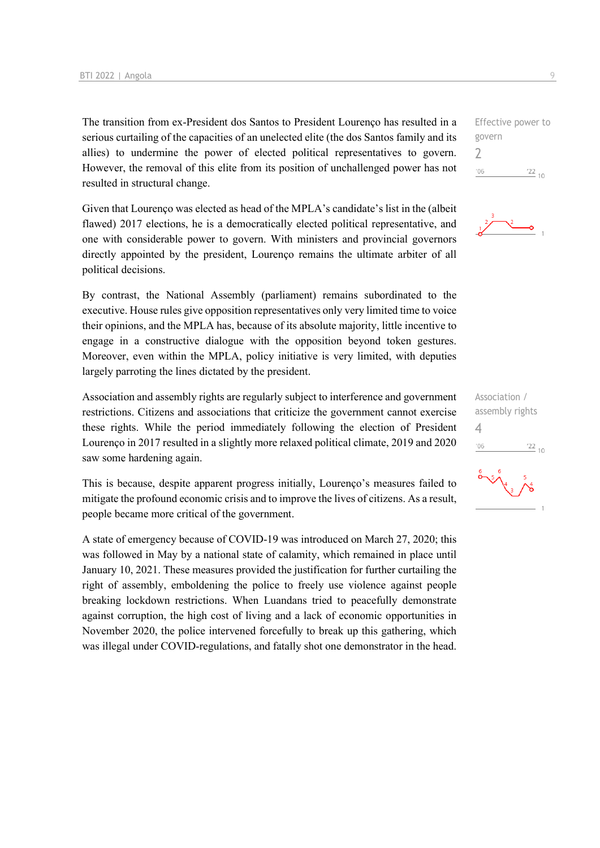The transition from ex-President dos Santos to President Lourenço has resulted in a serious curtailing of the capacities of an unelected elite (the dos Santos family and its allies) to undermine the power of elected political representatives to govern. However, the removal of this elite from its position of unchallenged power has not resulted in structural change.

Given that Lourenço was elected as head of the MPLA's candidate's list in the (albeit flawed) 2017 elections, he is a democratically elected political representative, and one with considerable power to govern. With ministers and provincial governors directly appointed by the president, Lourenço remains the ultimate arbiter of all political decisions.

By contrast, the National Assembly (parliament) remains subordinated to the executive. House rules give opposition representatives only very limited time to voice their opinions, and the MPLA has, because of its absolute majority, little incentive to engage in a constructive dialogue with the opposition beyond token gestures. Moreover, even within the MPLA, policy initiative is very limited, with deputies largely parroting the lines dictated by the president.

Association and assembly rights are regularly subject to interference and government restrictions. Citizens and associations that criticize the government cannot exercise these rights. While the period immediately following the election of President Lourenço in 2017 resulted in a slightly more relaxed political climate, 2019 and 2020 saw some hardening again.

This is because, despite apparent progress initially, Lourenço's measures failed to mitigate the profound economic crisis and to improve the lives of citizens. As a result, people became more critical of the government.

A state of emergency because of COVID-19 was introduced on March 27, 2020; this was followed in May by a national state of calamity, which remained in place until January 10, 2021. These measures provided the justification for further curtailing the right of assembly, emboldening the police to freely use violence against people breaking lockdown restrictions. When Luandans tried to peacefully demonstrate against corruption, the high cost of living and a lack of economic opportunities in November 2020, the police intervened forcefully to break up this gathering, which was illegal under COVID-regulations, and fatally shot one demonstrator in the head.

Effective power to govern 2  $^{\prime}06$  $\frac{22}{10}$ 



Association / assembly rights 4 $-06$  $\frac{22}{10}$ 

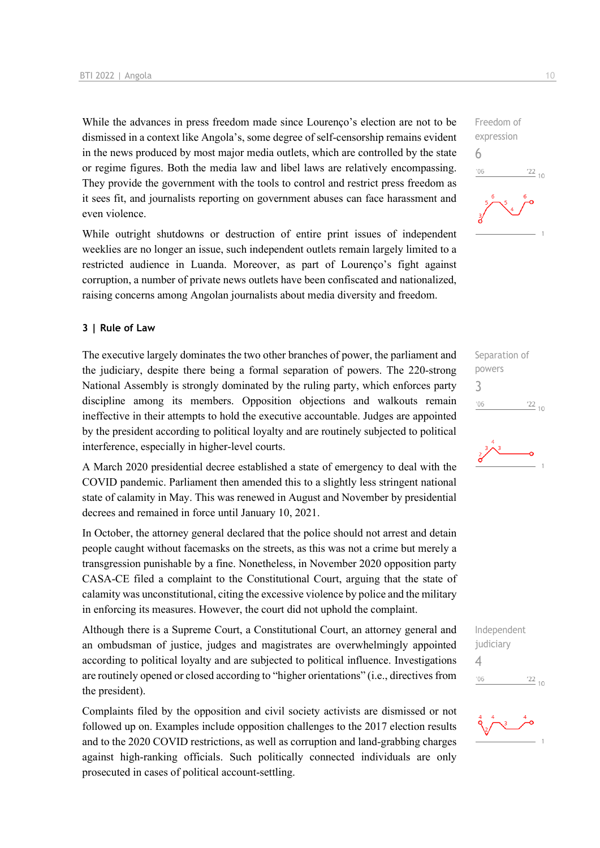While the advances in press freedom made since Lourenço's election are not to be dismissed in a context like Angola's, some degree of self-censorship remains evident in the news produced by most major media outlets, which are controlled by the state or regime figures. Both the media law and libel laws are relatively encompassing. They provide the government with the tools to control and restrict press freedom as it sees fit, and journalists reporting on government abuses can face harassment and even violence.

While outright shutdowns or destruction of entire print issues of independent weeklies are no longer an issue, such independent outlets remain largely limited to a restricted audience in Luanda. Moreover, as part of Lourenço's fight against corruption, a number of private news outlets have been confiscated and nationalized, raising concerns among Angolan journalists about media diversity and freedom.

#### **3 | Rule of Law**

The executive largely dominates the two other branches of power, the parliament and the judiciary, despite there being a formal separation of powers. The 220-strong National Assembly is strongly dominated by the ruling party, which enforces party discipline among its members. Opposition objections and walkouts remain ineffective in their attempts to hold the executive accountable. Judges are appointed by the president according to political loyalty and are routinely subjected to political interference, especially in higher-level courts.

A March 2020 presidential decree established a state of emergency to deal with the COVID pandemic. Parliament then amended this to a slightly less stringent national state of calamity in May. This was renewed in August and November by presidential decrees and remained in force until January 10, 2021.

In October, the attorney general declared that the police should not arrest and detain people caught without facemasks on the streets, as this was not a crime but merely a transgression punishable by a fine. Nonetheless, in November 2020 opposition party CASA-CE filed a complaint to the Constitutional Court, arguing that the state of calamity was unconstitutional, citing the excessive violence by police and the military in enforcing its measures. However, the court did not uphold the complaint.

Although there is a Supreme Court, a Constitutional Court, an attorney general and an ombudsman of justice, judges and magistrates are overwhelmingly appointed according to political loyalty and are subjected to political influence. Investigations are routinely opened or closed according to "higher orientations" (i.e., directives from the president).

Complaints filed by the opposition and civil society activists are dismissed or not followed up on. Examples include opposition challenges to the 2017 election results and to the 2020 COVID restrictions, as well as corruption and land-grabbing charges against high-ranking officials. Such politically connected individuals are only prosecuted in cases of political account-settling.

Freedom of expression 6  $-06$  $\frac{22}{10}$ 

Separation of powers 3  $^{\prime}06$  $\frac{22}{10}$ 



Independent judiciary 4 $^{\prime}06$  $\frac{22}{10}$ 

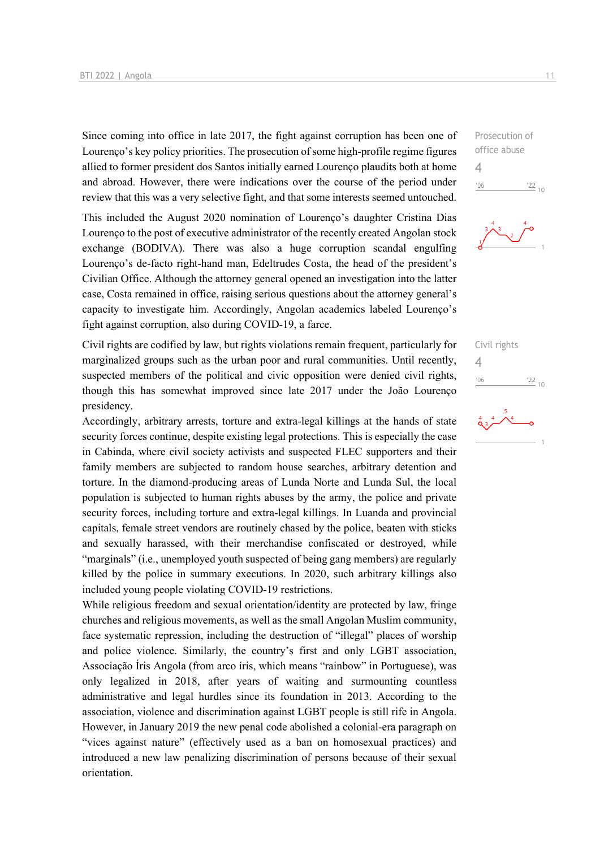Since coming into office in late 2017, the fight against corruption has been one of Lourenço's key policy priorities. The prosecution of some high-profile regime figures allied to former president dos Santos initially earned Lourenço plaudits both at home and abroad. However, there were indications over the course of the period under review that this was a very selective fight, and that some interests seemed untouched.

This included the August 2020 nomination of Lourenço's daughter Cristina Dias Lourenço to the post of executive administrator of the recently created Angolan stock exchange (BODIVA). There was also a huge corruption scandal engulfing Lourenço's de-facto right-hand man, Edeltrudes Costa, the head of the president's Civilian Office. Although the attorney general opened an investigation into the latter case, Costa remained in office, raising serious questions about the attorney general's capacity to investigate him. Accordingly, Angolan academics labeled Lourenço's fight against corruption, also during COVID-19, a farce.

Civil rights are codified by law, but rights violations remain frequent, particularly for marginalized groups such as the urban poor and rural communities. Until recently, suspected members of the political and civic opposition were denied civil rights, though this has somewhat improved since late 2017 under the João Lourenço presidency.

Accordingly, arbitrary arrests, torture and extra-legal killings at the hands of state security forces continue, despite existing legal protections. This is especially the case in Cabinda, where civil society activists and suspected FLEC supporters and their family members are subjected to random house searches, arbitrary detention and torture. In the diamond-producing areas of Lunda Norte and Lunda Sul, the local population is subjected to human rights abuses by the army, the police and private security forces, including torture and extra-legal killings. In Luanda and provincial capitals, female street vendors are routinely chased by the police, beaten with sticks and sexually harassed, with their merchandise confiscated or destroyed, while "marginals" (i.e., unemployed youth suspected of being gang members) are regularly killed by the police in summary executions. In 2020, such arbitrary killings also included young people violating COVID-19 restrictions.

While religious freedom and sexual orientation/identity are protected by law, fringe churches and religious movements, as well as the small Angolan Muslim community, face systematic repression, including the destruction of "illegal" places of worship and police violence. Similarly, the country's first and only LGBT association, Associação Íris Angola (from arco íris, which means "rainbow" in Portuguese), was only legalized in 2018, after years of waiting and surmounting countless administrative and legal hurdles since its foundation in 2013. According to the association, violence and discrimination against LGBT people is still rife in Angola. However, in January 2019 the new penal code abolished a colonial-era paragraph on "vices against nature" (effectively used as a ban on homosexual practices) and introduced a new law penalizing discrimination of persons because of their sexual orientation.

Prosecution of office abuse 4  $'06$  $\frac{22}{10}$ 



Civil rights  $\Delta$  $^{\prime}06$  $\frac{22}{10}$ 

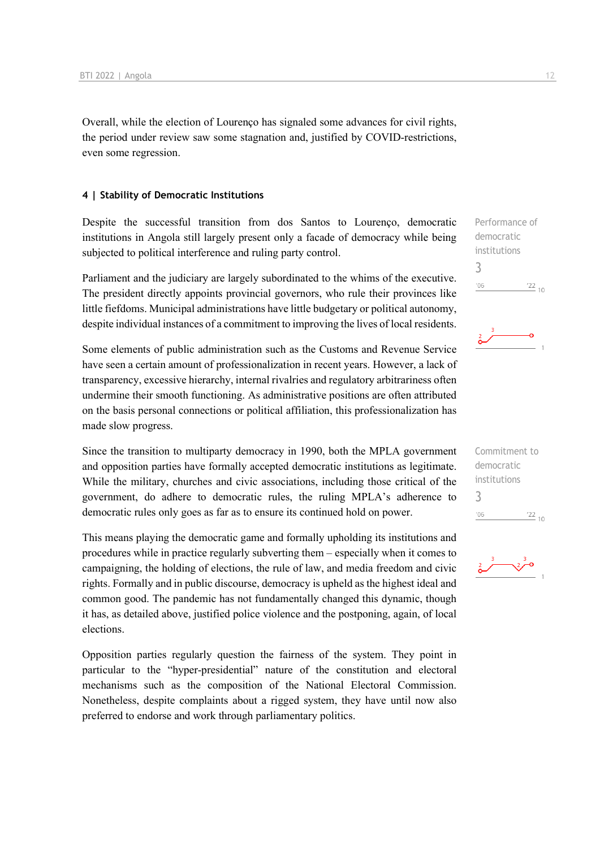Overall, while the election of Lourenço has signaled some advances for civil rights, the period under review saw some stagnation and, justified by COVID-restrictions, even some regression.

#### **4 | Stability of Democratic Institutions**

Despite the successful transition from dos Santos to Lourenço, democratic institutions in Angola still largely present only a facade of democracy while being subjected to political interference and ruling party control.

Parliament and the judiciary are largely subordinated to the whims of the executive. The president directly appoints provincial governors, who rule their provinces like little fiefdoms. Municipal administrations have little budgetary or political autonomy, despite individual instances of a commitment to improving the lives of local residents.

Some elements of public administration such as the Customs and Revenue Service have seen a certain amount of professionalization in recent years. However, a lack of transparency, excessive hierarchy, internal rivalries and regulatory arbitrariness often undermine their smooth functioning. As administrative positions are often attributed on the basis personal connections or political affiliation, this professionalization has made slow progress.

Since the transition to multiparty democracy in 1990, both the MPLA government and opposition parties have formally accepted democratic institutions as legitimate. While the military, churches and civic associations, including those critical of the government, do adhere to democratic rules, the ruling MPLA's adherence to democratic rules only goes as far as to ensure its continued hold on power.

This means playing the democratic game and formally upholding its institutions and procedures while in practice regularly subverting them – especially when it comes to campaigning, the holding of elections, the rule of law, and media freedom and civic rights. Formally and in public discourse, democracy is upheld as the highest ideal and common good. The pandemic has not fundamentally changed this dynamic, though it has, as detailed above, justified police violence and the postponing, again, of local elections.

Opposition parties regularly question the fairness of the system. They point in particular to the "hyper-presidential" nature of the constitution and electoral mechanisms such as the composition of the National Electoral Commission. Nonetheless, despite complaints about a rigged system, they have until now also preferred to endorse and work through parliamentary politics.





Commitment to democratic institutions 3 $^{\prime}06$  $\frac{22}{10}$ 

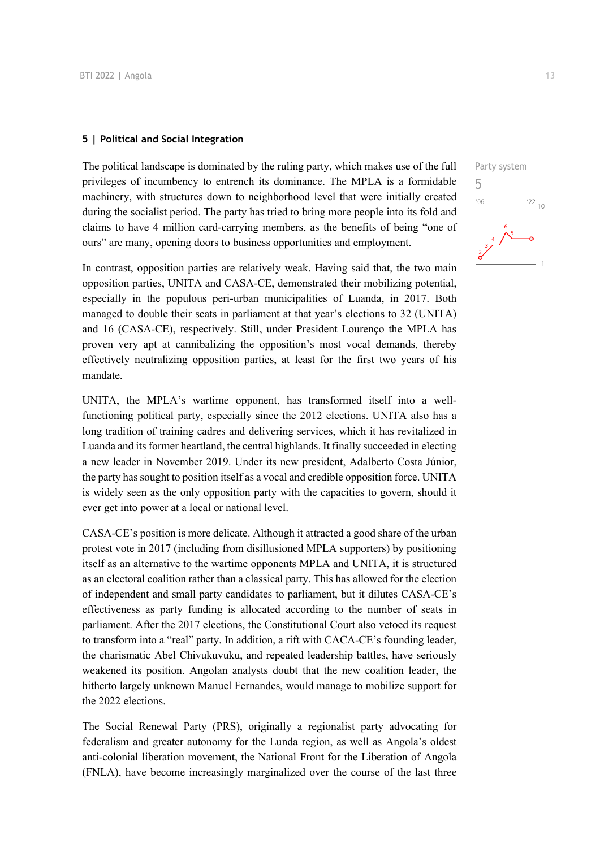#### **5 | Political and Social Integration**

The political landscape is dominated by the ruling party, which makes use of the full privileges of incumbency to entrench its dominance. The MPLA is a formidable machinery, with structures down to neighborhood level that were initially created during the socialist period. The party has tried to bring more people into its fold and claims to have 4 million card-carrying members, as the benefits of being "one of ours" are many, opening doors to business opportunities and employment.

In contrast, opposition parties are relatively weak. Having said that, the two main opposition parties, UNITA and CASA-CE, demonstrated their mobilizing potential, especially in the populous peri-urban municipalities of Luanda, in 2017. Both managed to double their seats in parliament at that year's elections to 32 (UNITA) and 16 (CASA-CE), respectively. Still, under President Lourenço the MPLA has proven very apt at cannibalizing the opposition's most vocal demands, thereby effectively neutralizing opposition parties, at least for the first two years of his mandate.

UNITA, the MPLA's wartime opponent, has transformed itself into a wellfunctioning political party, especially since the 2012 elections. UNITA also has a long tradition of training cadres and delivering services, which it has revitalized in Luanda and its former heartland, the central highlands. It finally succeeded in electing a new leader in November 2019. Under its new president, Adalberto Costa Júnior, the party has sought to position itself as a vocal and credible opposition force. UNITA is widely seen as the only opposition party with the capacities to govern, should it ever get into power at a local or national level.

CASA-CE's position is more delicate. Although it attracted a good share of the urban protest vote in 2017 (including from disillusioned MPLA supporters) by positioning itself as an alternative to the wartime opponents MPLA and UNITA, it is structured as an electoral coalition rather than a classical party. This has allowed for the election of independent and small party candidates to parliament, but it dilutes CASA-CE's effectiveness as party funding is allocated according to the number of seats in parliament. After the 2017 elections, the Constitutional Court also vetoed its request to transform into a "real" party. In addition, a rift with CACA-CE's founding leader, the charismatic Abel Chivukuvuku, and repeated leadership battles, have seriously weakened its position. Angolan analysts doubt that the new coalition leader, the hitherto largely unknown Manuel Fernandes, would manage to mobilize support for the 2022 elections.

The Social Renewal Party (PRS), originally a regionalist party advocating for federalism and greater autonomy for the Lunda region, as well as Angola's oldest anti-colonial liberation movement, the National Front for the Liberation of Angola (FNLA), have become increasingly marginalized over the course of the last three

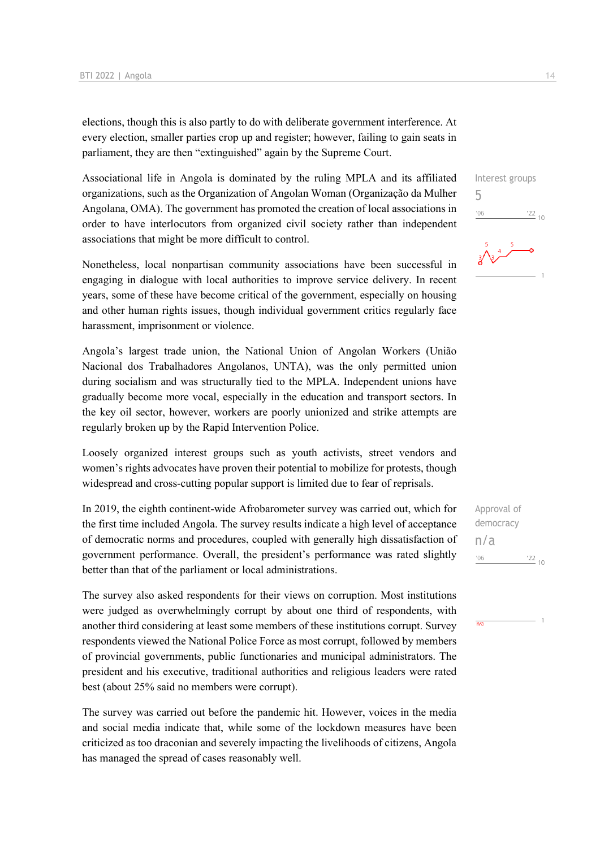elections, though this is also partly to do with deliberate government interference. At every election, smaller parties crop up and register; however, failing to gain seats in parliament, they are then "extinguished" again by the Supreme Court.

Associational life in Angola is dominated by the ruling MPLA and its affiliated organizations, such as the Organization of Angolan Woman (Organização da Mulher Angolana, OMA). The government has promoted the creation of local associations in order to have interlocutors from organized civil society rather than independent associations that might be more difficult to control.

Nonetheless, local nonpartisan community associations have been successful in engaging in dialogue with local authorities to improve service delivery. In recent years, some of these have become critical of the government, especially on housing and other human rights issues, though individual government critics regularly face harassment, imprisonment or violence.

Angola's largest trade union, the National Union of Angolan Workers (União Nacional dos Trabalhadores Angolanos, UNTA), was the only permitted union during socialism and was structurally tied to the MPLA. Independent unions have gradually become more vocal, especially in the education and transport sectors. In the key oil sector, however, workers are poorly unionized and strike attempts are regularly broken up by the Rapid Intervention Police.

Loosely organized interest groups such as youth activists, street vendors and women's rights advocates have proven their potential to mobilize for protests, though widespread and cross-cutting popular support is limited due to fear of reprisals.

In 2019, the eighth continent-wide Afrobarometer survey was carried out, which for the first time included Angola. The survey results indicate a high level of acceptance of democratic norms and procedures, coupled with generally high dissatisfaction of government performance. Overall, the president's performance was rated slightly better than that of the parliament or local administrations.

The survey also asked respondents for their views on corruption. Most institutions were judged as overwhelmingly corrupt by about one third of respondents, with another third considering at least some members of these institutions corrupt. Survey respondents viewed the National Police Force as most corrupt, followed by members of provincial governments, public functionaries and municipal administrators. The president and his executive, traditional authorities and religious leaders were rated best (about 25% said no members were corrupt).

The survey was carried out before the pandemic hit. However, voices in the media and social media indicate that, while some of the lockdown measures have been criticized as too draconian and severely impacting the livelihoods of citizens, Angola has managed the spread of cases reasonably well.

Interest groups

 $\frac{22}{10}$ 

Approval of democracy

 $\frac{22}{10}$ 

n/a

 $'06$ 

 $\overline{n/a}$ 

5

'06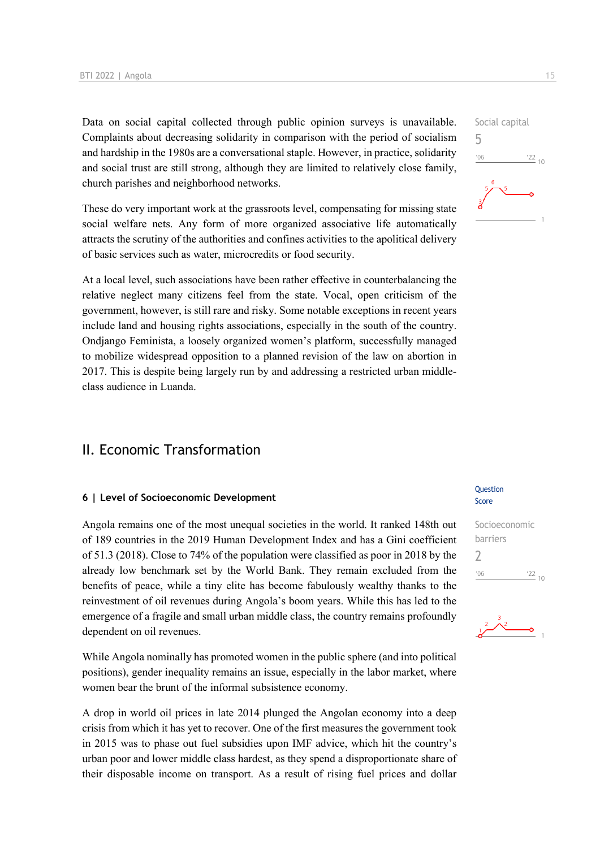Data on social capital collected through public opinion surveys is unavailable. Complaints about decreasing solidarity in comparison with the period of socialism and hardship in the 1980s are a conversational staple. However, in practice, solidarity and social trust are still strong, although they are limited to relatively close family, church parishes and neighborhood networks.

These do very important work at the grassroots level, compensating for missing state social welfare nets. Any form of more organized associative life automatically attracts the scrutiny of the authorities and confines activities to the apolitical delivery of basic services such as water, microcredits or food security.

At a local level, such associations have been rather effective in counterbalancing the relative neglect many citizens feel from the state. Vocal, open criticism of the government, however, is still rare and risky. Some notable exceptions in recent years include land and housing rights associations, especially in the south of the country. Ondjango Feminista, a loosely organized women's platform, successfully managed to mobilize widespread opposition to a planned revision of the law on abortion in 2017. This is despite being largely run by and addressing a restricted urban middleclass audience in Luanda.

## II. Economic Transformation

#### **6 | Level of Socioeconomic Development**

Angola remains one of the most unequal societies in the world. It ranked 148th out of 189 countries in the 2019 Human Development Index and has a Gini coefficient of 51.3 (2018). Close to 74% of the population were classified as poor in 2018 by the already low benchmark set by the World Bank. They remain excluded from the benefits of peace, while a tiny elite has become fabulously wealthy thanks to the reinvestment of oil revenues during Angola's boom years. While this has led to the emergence of a fragile and small urban middle class, the country remains profoundly dependent on oil revenues.

While Angola nominally has promoted women in the public sphere (and into political positions), gender inequality remains an issue, especially in the labor market, where women bear the brunt of the informal subsistence economy.

A drop in world oil prices in late 2014 plunged the Angolan economy into a deep crisis from which it has yet to recover. One of the first measures the government took in 2015 was to phase out fuel subsidies upon IMF advice, which hit the country's urban poor and lower middle class hardest, as they spend a disproportionate share of their disposable income on transport. As a result of rising fuel prices and dollar

#### **Ouestion** Score





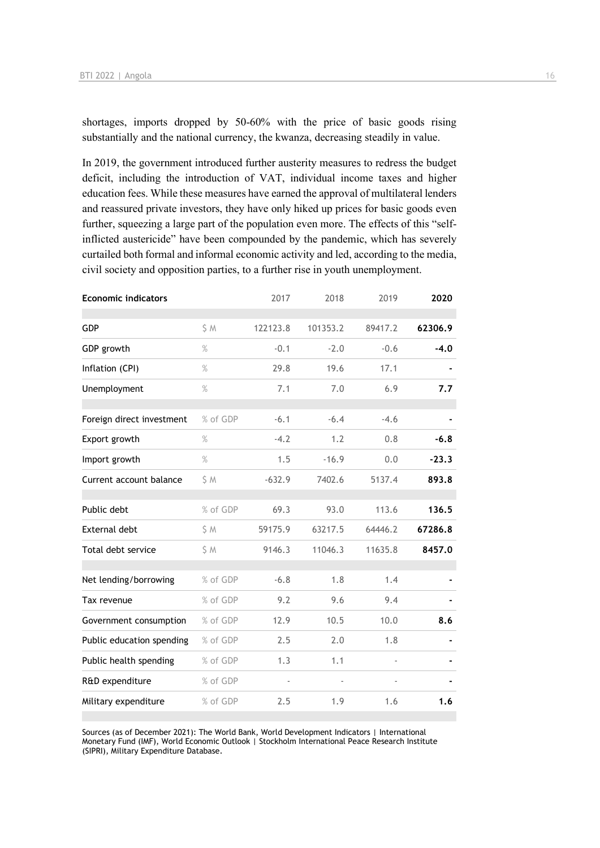shortages, imports dropped by 50-60% with the price of basic goods rising substantially and the national currency, the kwanza, decreasing steadily in value.

In 2019, the government introduced further austerity measures to redress the budget deficit, including the introduction of VAT, individual income taxes and higher education fees. While these measures have earned the approval of multilateral lenders and reassured private investors, they have only hiked up prices for basic goods even further, squeezing a large part of the population even more. The effects of this "selfinflicted austericide" have been compounded by the pandemic, which has severely curtailed both formal and informal economic activity and led, according to the media, civil society and opposition parties, to a further rise in youth unemployment.

|          |          |          |         | 2020    |
|----------|----------|----------|---------|---------|
| S M      | 122123.8 | 101353.2 | 89417.2 | 62306.9 |
| $\%$     | $-0.1$   | $-2.0$   | $-0.6$  | $-4.0$  |
| $\%$     | 29.8     | 19.6     | 17.1    |         |
| $\%$     | 7.1      | 7.0      | 6.9     | 7.7     |
| % of GDP | $-6.1$   | $-6.4$   | $-4.6$  |         |
| $\%$     | $-4.2$   | 1.2      | 0.8     | $-6.8$  |
| $\%$     | 1.5      | $-16.9$  | 0.0     | $-23.3$ |
| S M      | $-632.9$ | 7402.6   | 5137.4  | 893.8   |
| % of GDP | 69.3     | 93.0     | 113.6   | 136.5   |
| S M      | 59175.9  | 63217.5  | 64446.2 | 67286.8 |
| \$M      | 9146.3   | 11046.3  | 11635.8 | 8457.0  |
| % of GDP | $-6.8$   | 1.8      | 1.4     |         |
| % of GDP | 9.2      | 9.6      | 9.4     |         |
| % of GDP | 12.9     | 10.5     | 10.0    | 8.6     |
| % of GDP | 2.5      | 2.0      | 1.8     |         |
| % of GDP | 1.3      | 1.1      |         |         |
| % of GDP |          |          |         |         |
| % of GDP | 2.5      | 1.9      | 1.6     | 1.6     |
|          |          | 2017     | 2018    | 2019    |

Sources (as of December 2021): The World Bank, World Development Indicators | International Monetary Fund (IMF), World Economic Outlook | Stockholm International Peace Research Institute (SIPRI), Military Expenditure Database.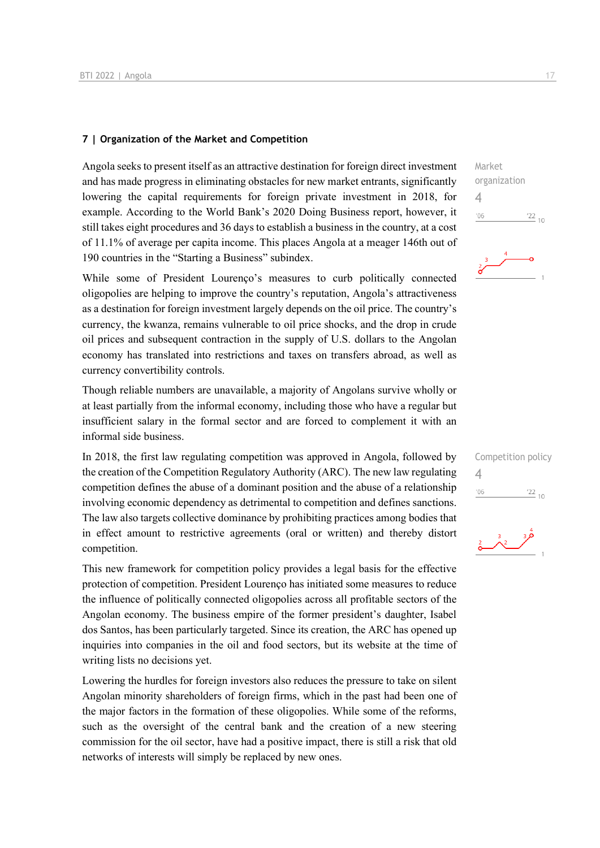#### **7 | Organization of the Market and Competition**

Angola seeks to present itself as an attractive destination for foreign direct investment and has made progress in eliminating obstacles for new market entrants, significantly lowering the capital requirements for foreign private investment in 2018, for example. According to the World Bank's 2020 Doing Business report, however, it still takes eight procedures and 36 days to establish a business in the country, at a cost of 11.1% of average per capita income. This places Angola at a meager 146th out of 190 countries in the "Starting a Business" subindex.

While some of President Lourenço's measures to curb politically connected oligopolies are helping to improve the country's reputation, Angola's attractiveness as a destination for foreign investment largely depends on the oil price. The country's currency, the kwanza, remains vulnerable to oil price shocks, and the drop in crude oil prices and subsequent contraction in the supply of U.S. dollars to the Angolan economy has translated into restrictions and taxes on transfers abroad, as well as currency convertibility controls.

Though reliable numbers are unavailable, a majority of Angolans survive wholly or at least partially from the informal economy, including those who have a regular but insufficient salary in the formal sector and are forced to complement it with an informal side business.

In 2018, the first law regulating competition was approved in Angola, followed by the creation of the Competition Regulatory Authority (ARC). The new law regulating competition defines the abuse of a dominant position and the abuse of a relationship involving economic dependency as detrimental to competition and defines sanctions. The law also targets collective dominance by prohibiting practices among bodies that in effect amount to restrictive agreements (oral or written) and thereby distort competition.

This new framework for competition policy provides a legal basis for the effective protection of competition. President Lourenço has initiated some measures to reduce the influence of politically connected oligopolies across all profitable sectors of the Angolan economy. The business empire of the former president's daughter, Isabel dos Santos, has been particularly targeted. Since its creation, the ARC has opened up inquiries into companies in the oil and food sectors, but its website at the time of writing lists no decisions yet.

Lowering the hurdles for foreign investors also reduces the pressure to take on silent Angolan minority shareholders of foreign firms, which in the past had been one of the major factors in the formation of these oligopolies. While some of the reforms, such as the oversight of the central bank and the creation of a new steering commission for the oil sector, have had a positive impact, there is still a risk that old networks of interests will simply be replaced by new ones.



|          | Competition policy |
|----------|--------------------|
| $\Delta$ |                    |
| '06      | $^{22}$ 10         |
|          |                    |

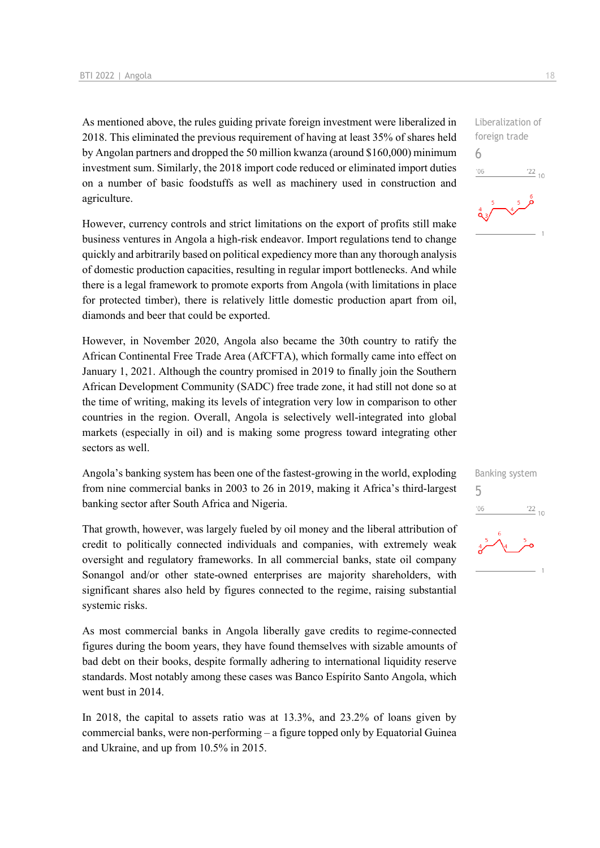As mentioned above, the rules guiding private foreign investment were liberalized in 2018. This eliminated the previous requirement of having at least 35% of shares held by Angolan partners and dropped the 50 million kwanza (around \$160,000) minimum investment sum. Similarly, the 2018 import code reduced or eliminated import duties on a number of basic foodstuffs as well as machinery used in construction and agriculture.

However, currency controls and strict limitations on the export of profits still make business ventures in Angola a high-risk endeavor. Import regulations tend to change quickly and arbitrarily based on political expediency more than any thorough analysis of domestic production capacities, resulting in regular import bottlenecks. And while there is a legal framework to promote exports from Angola (with limitations in place for protected timber), there is relatively little domestic production apart from oil, diamonds and beer that could be exported.

However, in November 2020, Angola also became the 30th country to ratify the African Continental Free Trade Area (AfCFTA), which formally came into effect on January 1, 2021. Although the country promised in 2019 to finally join the Southern African Development Community (SADC) free trade zone, it had still not done so at the time of writing, making its levels of integration very low in comparison to other countries in the region. Overall, Angola is selectively well-integrated into global markets (especially in oil) and is making some progress toward integrating other sectors as well.

Angola's banking system has been one of the fastest-growing in the world, exploding from nine commercial banks in 2003 to 26 in 2019, making it Africa's third-largest banking sector after South Africa and Nigeria.

That growth, however, was largely fueled by oil money and the liberal attribution of credit to politically connected individuals and companies, with extremely weak oversight and regulatory frameworks. In all commercial banks, state oil company Sonangol and/or other state-owned enterprises are majority shareholders, with significant shares also held by figures connected to the regime, raising substantial systemic risks.

As most commercial banks in Angola liberally gave credits to regime-connected figures during the boom years, they have found themselves with sizable amounts of bad debt on their books, despite formally adhering to international liquidity reserve standards. Most notably among these cases was Banco Espírito Santo Angola, which went bust in 2014.

In 2018, the capital to assets ratio was at 13.3%, and 23.2% of loans given by commercial banks, were non-performing – a figure topped only by Equatorial Guinea and Ukraine, and up from 10.5% in 2015.

Liberalization of foreign trade 6  $-06$  $\frac{22}{10}$ 

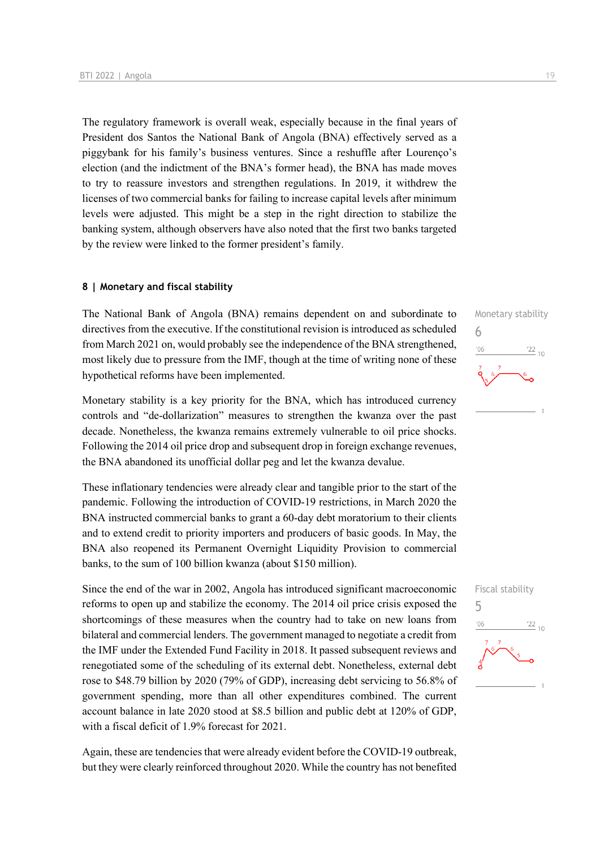The regulatory framework is overall weak, especially because in the final years of President dos Santos the National Bank of Angola (BNA) effectively served as a piggybank for his family's business ventures. Since a reshuffle after Lourenço's election (and the indictment of the BNA's former head), the BNA has made moves to try to reassure investors and strengthen regulations. In 2019, it withdrew the licenses of two commercial banks for failing to increase capital levels after minimum levels were adjusted. This might be a step in the right direction to stabilize the banking system, although observers have also noted that the first two banks targeted by the review were linked to the former president's family.

#### **8 | Monetary and fiscal stability**

The National Bank of Angola (BNA) remains dependent on and subordinate to directives from the executive. If the constitutional revision is introduced as scheduled from March 2021 on, would probably see the independence of the BNA strengthened, most likely due to pressure from the IMF, though at the time of writing none of these hypothetical reforms have been implemented.

Monetary stability is a key priority for the BNA, which has introduced currency controls and "de-dollarization" measures to strengthen the kwanza over the past decade. Nonetheless, the kwanza remains extremely vulnerable to oil price shocks. Following the 2014 oil price drop and subsequent drop in foreign exchange revenues, the BNA abandoned its unofficial dollar peg and let the kwanza devalue.

These inflationary tendencies were already clear and tangible prior to the start of the pandemic. Following the introduction of COVID-19 restrictions, in March 2020 the BNA instructed commercial banks to grant a 60-day debt moratorium to their clients and to extend credit to priority importers and producers of basic goods. In May, the BNA also reopened its Permanent Overnight Liquidity Provision to commercial banks, to the sum of 100 billion kwanza (about \$150 million).

Since the end of the war in 2002, Angola has introduced significant macroeconomic reforms to open up and stabilize the economy. The 2014 oil price crisis exposed the shortcomings of these measures when the country had to take on new loans from bilateral and commercial lenders. The government managed to negotiate a credit from the IMF under the Extended Fund Facility in 2018. It passed subsequent reviews and renegotiated some of the scheduling of its external debt. Nonetheless, external debt rose to \$48.79 billion by 2020 (79% of GDP), increasing debt servicing to 56.8% of government spending, more than all other expenditures combined. The current account balance in late 2020 stood at \$8.5 billion and public debt at 120% of GDP, with a fiscal deficit of 1.9% forecast for 2021.

Again, these are tendencies that were already evident before the COVID-19 outbreak, but they were clearly reinforced throughout 2020. While the country has not benefited

## Monetary stability 6  $06'$  $\frac{22}{10}$

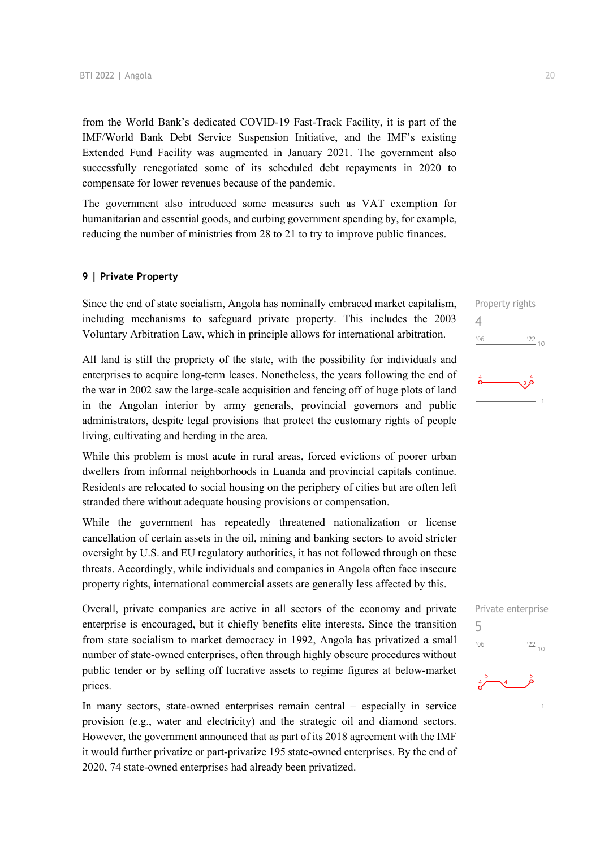from the World Bank's dedicated COVID-19 Fast-Track Facility, it is part of the IMF/World Bank Debt Service Suspension Initiative, and the IMF's existing Extended Fund Facility was augmented in January 2021. The government also successfully renegotiated some of its scheduled debt repayments in 2020 to compensate for lower revenues because of the pandemic.

The government also introduced some measures such as VAT exemption for humanitarian and essential goods, and curbing government spending by, for example, reducing the number of ministries from 28 to 21 to try to improve public finances.

#### **9 | Private Property**

Since the end of state socialism, Angola has nominally embraced market capitalism, including mechanisms to safeguard private property. This includes the 2003 Voluntary Arbitration Law, which in principle allows for international arbitration.

All land is still the propriety of the state, with the possibility for individuals and enterprises to acquire long-term leases. Nonetheless, the years following the end of the war in 2002 saw the large-scale acquisition and fencing off of huge plots of land in the Angolan interior by army generals, provincial governors and public administrators, despite legal provisions that protect the customary rights of people living, cultivating and herding in the area.

While this problem is most acute in rural areas, forced evictions of poorer urban dwellers from informal neighborhoods in Luanda and provincial capitals continue. Residents are relocated to social housing on the periphery of cities but are often left stranded there without adequate housing provisions or compensation.

While the government has repeatedly threatened nationalization or license cancellation of certain assets in the oil, mining and banking sectors to avoid stricter oversight by U.S. and EU regulatory authorities, it has not followed through on these threats. Accordingly, while individuals and companies in Angola often face insecure property rights, international commercial assets are generally less affected by this.

Overall, private companies are active in all sectors of the economy and private enterprise is encouraged, but it chiefly benefits elite interests. Since the transition from state socialism to market democracy in 1992, Angola has privatized a small number of state-owned enterprises, often through highly obscure procedures without public tender or by selling off lucrative assets to regime figures at below-market prices.

In many sectors, state-owned enterprises remain central – especially in service provision (e.g., water and electricity) and the strategic oil and diamond sectors. However, the government announced that as part of its 2018 agreement with the IMF it would further privatize or part-privatize 195 state-owned enterprises. By the end of 2020, 74 state-owned enterprises had already been privatized.



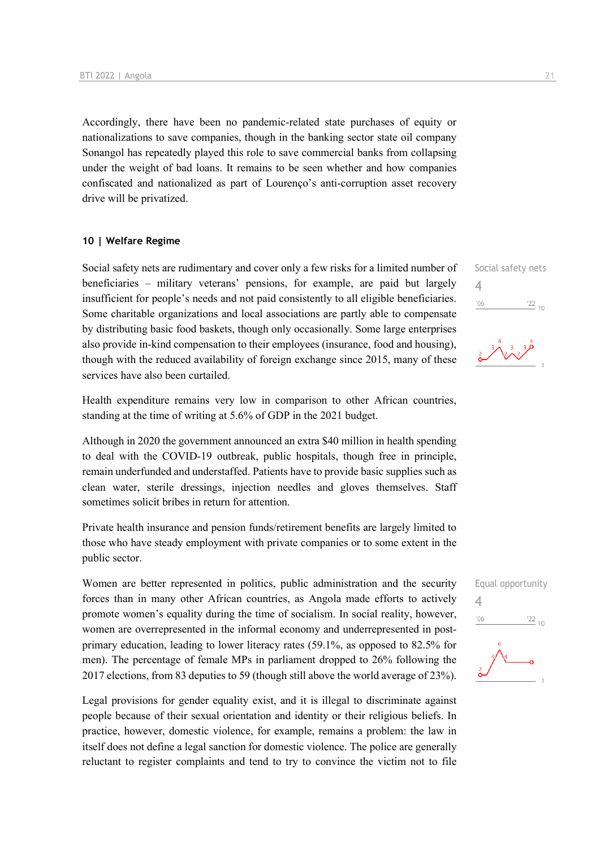Accordingly, there have been no pandemic-related state purchases of equity or nationalizations to save companies, though in the banking sector state oil company Sonangol has repeatedly played this role to save commercial banks from collapsing under the weight of bad loans. It remains to be seen whether and how companies confiscated and nationalized as part of Lourenço's anti-corruption asset recovery drive will be privatized.

#### **10 | Welfare Regime**

Social safety nets are rudimentary and cover only a few risks for a limited number of beneficiaries – military veterans' pensions, for example, are paid but largely insufficient for people's needs and not paid consistently to all eligible beneficiaries. Some charitable organizations and local associations are partly able to compensate by distributing basic food baskets, though only occasionally. Some large enterprises also provide in-kind compensation to their employees (insurance, food and housing), though with the reduced availability of foreign exchange since 2015, many of these services have also been curtailed.

Health expenditure remains very low in comparison to other African countries, standing at the time of writing at 5.6% of GDP in the 2021 budget.

Although in 2020 the government announced an extra \$40 million in health spending to deal with the COVID-19 outbreak, public hospitals, though free in principle, remain underfunded and understaffed. Patients have to provide basic supplies such as clean water, sterile dressings, injection needles and gloves themselves. Staff sometimes solicit bribes in return for attention.

Private health insurance and pension funds/retirement benefits are largely limited to those who have steady employment with private companies or to some extent in the public sector.

Women are better represented in politics, public administration and the security forces than in many other African countries, as Angola made efforts to actively promote women's equality during the time of socialism. In social reality, however, women are overrepresented in the informal economy and underrepresented in postprimary education, leading to lower literacy rates (59.1%, as opposed to 82.5% for men). The percentage of female MPs in parliament dropped to 26% following the 2017 elections, from 83 deputies to 59 (though still above the world average of 23%).

Legal provisions for gender equality exist, and it is illegal to discriminate against people because of their sexual orientation and identity or their religious beliefs. In practice, however, domestic violence, for example, remains a problem: the law in itself does not define a legal sanction for domestic violence. The police are generally reluctant to register complaints and tend to try to convince the victim not to file Social safety nets 4  $\frac{22}{10}$  $^{\prime}06$ 



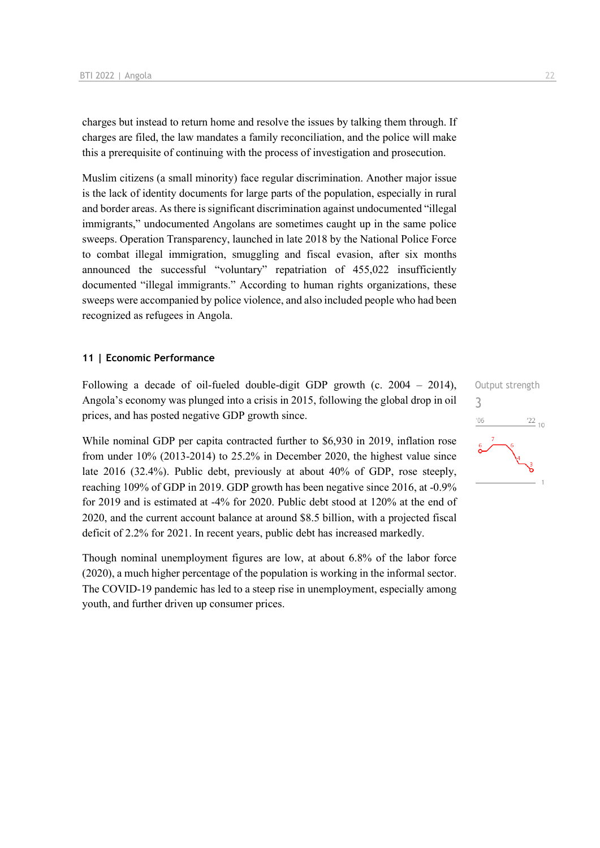charges but instead to return home and resolve the issues by talking them through. If charges are filed, the law mandates a family reconciliation, and the police will make this a prerequisite of continuing with the process of investigation and prosecution.

Muslim citizens (a small minority) face regular discrimination. Another major issue is the lack of identity documents for large parts of the population, especially in rural and border areas. As there is significant discrimination against undocumented "illegal immigrants," undocumented Angolans are sometimes caught up in the same police sweeps. Operation Transparency, launched in late 2018 by the National Police Force to combat illegal immigration, smuggling and fiscal evasion, after six months announced the successful "voluntary" repatriation of 455,022 insufficiently documented "illegal immigrants." According to human rights organizations, these sweeps were accompanied by police violence, and also included people who had been recognized as refugees in Angola.

#### **11 | Economic Performance**

Following a decade of oil-fueled double-digit GDP growth (c. 2004 – 2014), Angola's economy was plunged into a crisis in 2015, following the global drop in oil prices, and has posted negative GDP growth since.

While nominal GDP per capita contracted further to \$6,930 in 2019, inflation rose from under 10% (2013-2014) to 25.2% in December 2020, the highest value since late 2016 (32.4%). Public debt, previously at about 40% of GDP, rose steeply, reaching 109% of GDP in 2019. GDP growth has been negative since 2016, at -0.9% for 2019 and is estimated at -4% for 2020. Public debt stood at 120% at the end of 2020, and the current account balance at around \$8.5 billion, with a projected fiscal deficit of 2.2% for 2021. In recent years, public debt has increased markedly.

Though nominal unemployment figures are low, at about 6.8% of the labor force (2020), a much higher percentage of the population is working in the informal sector. The COVID-19 pandemic has led to a steep rise in unemployment, especially among youth, and further driven up consumer prices.

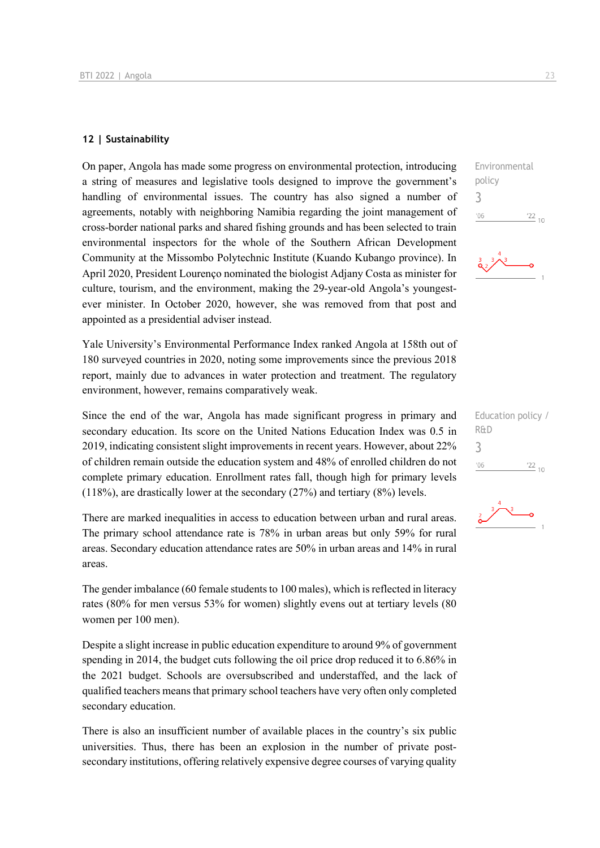#### **12 | Sustainability**

On paper, Angola has made some progress on environmental protection, introducing a string of measures and legislative tools designed to improve the government's handling of environmental issues. The country has also signed a number of agreements, notably with neighboring Namibia regarding the joint management of cross-border national parks and shared fishing grounds and has been selected to train environmental inspectors for the whole of the Southern African Development Community at the Missombo Polytechnic Institute (Kuando Kubango province). In April 2020, President Lourenço nominated the biologist Adjany Costa as minister for culture, tourism, and the environment, making the 29-year-old Angola's youngestever minister. In October 2020, however, she was removed from that post and appointed as a presidential adviser instead.

Yale University's Environmental Performance Index ranked Angola at 158th out of 180 surveyed countries in 2020, noting some improvements since the previous 2018 report, mainly due to advances in water protection and treatment. The regulatory environment, however, remains comparatively weak.

Since the end of the war, Angola has made significant progress in primary and secondary education. Its score on the United Nations Education Index was 0.5 in 2019, indicating consistent slight improvements in recent years. However, about 22% of children remain outside the education system and 48% of enrolled children do not complete primary education. Enrollment rates fall, though high for primary levels (118%), are drastically lower at the secondary (27%) and tertiary (8%) levels.

There are marked inequalities in access to education between urban and rural areas. The primary school attendance rate is 78% in urban areas but only 59% for rural areas. Secondary education attendance rates are 50% in urban areas and 14% in rural areas.

The gender imbalance (60 female students to 100 males), which is reflected in literacy rates (80% for men versus 53% for women) slightly evens out at tertiary levels (80 women per 100 men).

Despite a slight increase in public education expenditure to around 9% of government spending in 2014, the budget cuts following the oil price drop reduced it to 6.86% in the 2021 budget. Schools are oversubscribed and understaffed, and the lack of qualified teachers means that primary school teachers have very often only completed secondary education.

There is also an insufficient number of available places in the country's six public universities. Thus, there has been an explosion in the number of private postsecondary institutions, offering relatively expensive degree courses of varying quality  $\frac{22}{10}$ 

policy 3

 $06'$ 



| Education policy / |               |
|--------------------|---------------|
| R&D                |               |
|                    |               |
| 106                | $'22$ ,<br>10 |

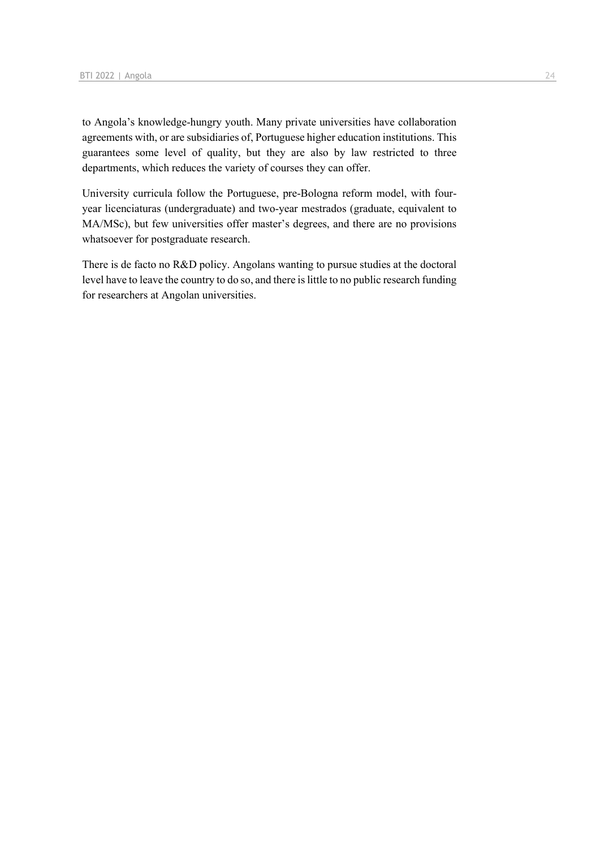to Angola's knowledge-hungry youth. Many private universities have collaboration agreements with, or are subsidiaries of, Portuguese higher education institutions. This guarantees some level of quality, but they are also by law restricted to three departments, which reduces the variety of courses they can offer.

University curricula follow the Portuguese, pre-Bologna reform model, with fouryear licenciaturas (undergraduate) and two-year mestrados (graduate, equivalent to MA/MSc), but few universities offer master's degrees, and there are no provisions whatsoever for postgraduate research.

There is de facto no R&D policy. Angolans wanting to pursue studies at the doctoral level have to leave the country to do so, and there is little to no public research funding for researchers at Angolan universities.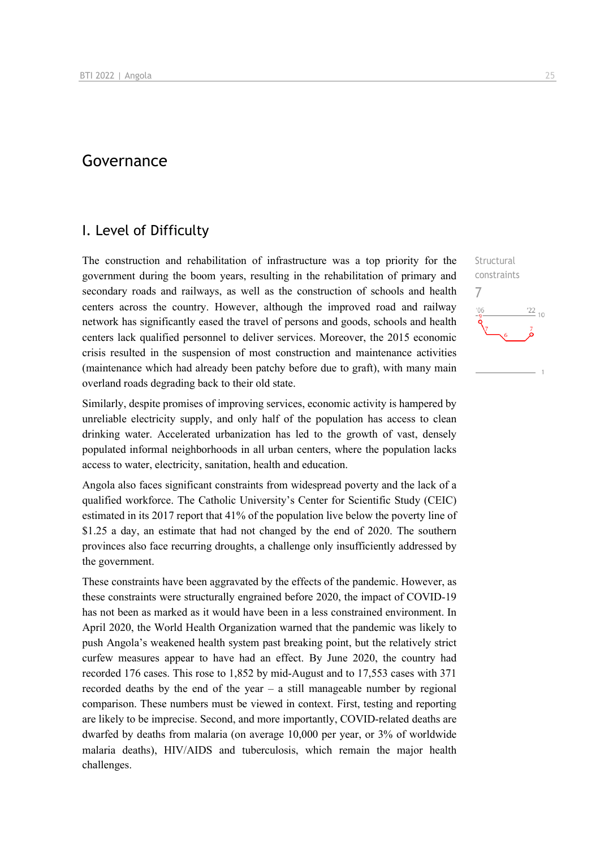## Governance

### I. Level of Difficulty

The construction and rehabilitation of infrastructure was a top priority for the government during the boom years, resulting in the rehabilitation of primary and secondary roads and railways, as well as the construction of schools and health centers across the country. However, although the improved road and railway network has significantly eased the travel of persons and goods, schools and health centers lack qualified personnel to deliver services. Moreover, the 2015 economic crisis resulted in the suspension of most construction and maintenance activities (maintenance which had already been patchy before due to graft), with many main overland roads degrading back to their old state.

Similarly, despite promises of improving services, economic activity is hampered by unreliable electricity supply, and only half of the population has access to clean drinking water. Accelerated urbanization has led to the growth of vast, densely populated informal neighborhoods in all urban centers, where the population lacks access to water, electricity, sanitation, health and education.

Angola also faces significant constraints from widespread poverty and the lack of a qualified workforce. The Catholic University's Center for Scientific Study (CEIC) estimated in its 2017 report that 41% of the population live below the poverty line of \$1.25 a day, an estimate that had not changed by the end of 2020. The southern provinces also face recurring droughts, a challenge only insufficiently addressed by the government.

These constraints have been aggravated by the effects of the pandemic. However, as these constraints were structurally engrained before 2020, the impact of COVID-19 has not been as marked as it would have been in a less constrained environment. In April 2020, the World Health Organization warned that the pandemic was likely to push Angola's weakened health system past breaking point, but the relatively strict curfew measures appear to have had an effect. By June 2020, the country had recorded 176 cases. This rose to 1,852 by mid-August and to 17,553 cases with 371 recorded deaths by the end of the year  $-$  a still manageable number by regional comparison. These numbers must be viewed in context. First, testing and reporting are likely to be imprecise. Second, and more importantly, COVID-related deaths are dwarfed by deaths from malaria (on average 10,000 per year, or 3% of worldwide malaria deaths), HIV/AIDS and tuberculosis, which remain the major health challenges.

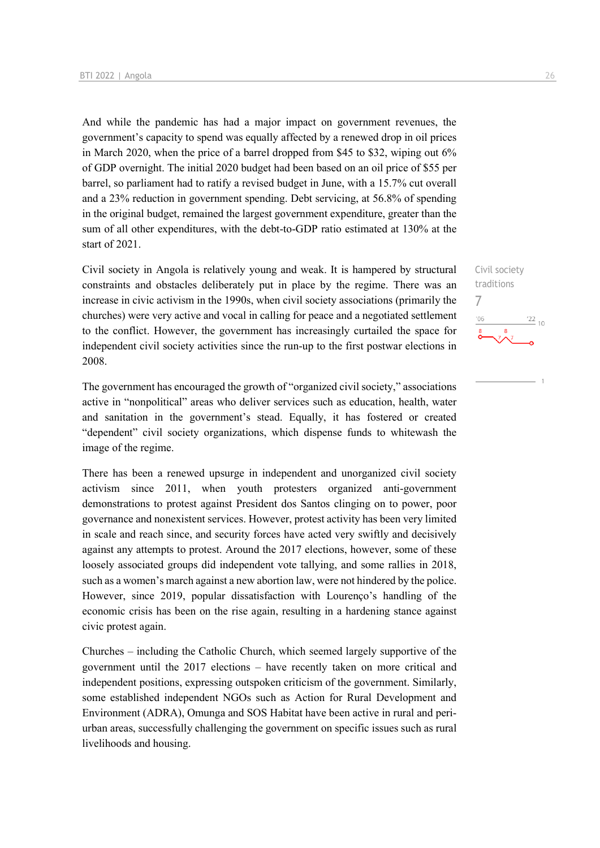And while the pandemic has had a major impact on government revenues, the government's capacity to spend was equally affected by a renewed drop in oil prices in March 2020, when the price of a barrel dropped from \$45 to \$32, wiping out 6% of GDP overnight. The initial 2020 budget had been based on an oil price of \$55 per barrel, so parliament had to ratify a revised budget in June, with a 15.7% cut overall and a 23% reduction in government spending. Debt servicing, at 56.8% of spending in the original budget, remained the largest government expenditure, greater than the sum of all other expenditures, with the debt-to-GDP ratio estimated at 130% at the start of 2021.

Civil society in Angola is relatively young and weak. It is hampered by structural constraints and obstacles deliberately put in place by the regime. There was an increase in civic activism in the 1990s, when civil society associations (primarily the churches) were very active and vocal in calling for peace and a negotiated settlement to the conflict. However, the government has increasingly curtailed the space for independent civil society activities since the run-up to the first postwar elections in 2008.

The government has encouraged the growth of "organized civil society," associations active in "nonpolitical" areas who deliver services such as education, health, water and sanitation in the government's stead. Equally, it has fostered or created "dependent" civil society organizations, which dispense funds to whitewash the image of the regime.

There has been a renewed upsurge in independent and unorganized civil society activism since 2011, when youth protesters organized anti-government demonstrations to protest against President dos Santos clinging on to power, poor governance and nonexistent services. However, protest activity has been very limited in scale and reach since, and security forces have acted very swiftly and decisively against any attempts to protest. Around the 2017 elections, however, some of these loosely associated groups did independent vote tallying, and some rallies in 2018, such as a women's march against a new abortion law, were not hindered by the police. However, since 2019, popular dissatisfaction with Lourenço's handling of the economic crisis has been on the rise again, resulting in a hardening stance against civic protest again.

Churches – including the Catholic Church, which seemed largely supportive of the government until the 2017 elections – have recently taken on more critical and independent positions, expressing outspoken criticism of the government. Similarly, some established independent NGOs such as Action for Rural Development and Environment (ADRA), Omunga and SOS Habitat have been active in rural and periurban areas, successfully challenging the government on specific issues such as rural livelihoods and housing.

Civil society traditions 7 $\frac{22}{10}$  $106$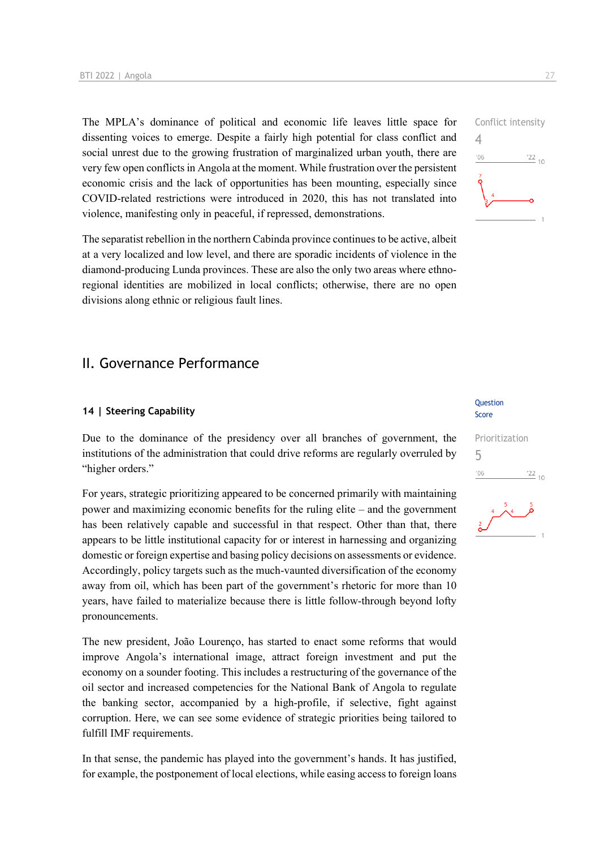The MPLA's dominance of political and economic life leaves little space for dissenting voices to emerge. Despite a fairly high potential for class conflict and social unrest due to the growing frustration of marginalized urban youth, there are very few open conflicts in Angola at the moment. While frustration over the persistent economic crisis and the lack of opportunities has been mounting, especially since COVID-related restrictions were introduced in 2020, this has not translated into violence, manifesting only in peaceful, if repressed, demonstrations.

The separatist rebellion in the northern Cabinda province continues to be active, albeit at a very localized and low level, and there are sporadic incidents of violence in the diamond-producing Lunda provinces. These are also the only two areas where ethnoregional identities are mobilized in local conflicts; otherwise, there are no open divisions along ethnic or religious fault lines.

## II. Governance Performance

#### **14 | Steering Capability**

Due to the dominance of the presidency over all branches of government, the institutions of the administration that could drive reforms are regularly overruled by "higher orders."

For years, strategic prioritizing appeared to be concerned primarily with maintaining power and maximizing economic benefits for the ruling elite – and the government has been relatively capable and successful in that respect. Other than that, there appears to be little institutional capacity for or interest in harnessing and organizing domestic or foreign expertise and basing policy decisions on assessments or evidence. Accordingly, policy targets such as the much-vaunted diversification of the economy away from oil, which has been part of the government's rhetoric for more than 10 years, have failed to materialize because there is little follow-through beyond lofty pronouncements.

The new president, João Lourenço, has started to enact some reforms that would improve Angola's international image, attract foreign investment and put the economy on a sounder footing. This includes a restructuring of the governance of the oil sector and increased competencies for the National Bank of Angola to regulate the banking sector, accompanied by a high-profile, if selective, fight against corruption. Here, we can see some evidence of strategic priorities being tailored to fulfill IMF requirements.

In that sense, the pandemic has played into the government's hands. It has justified, for example, the postponement of local elections, while easing access to foreign loans

#### **Question** Score

#### Prioritization 5 $06'$  $\frac{22}{10}$



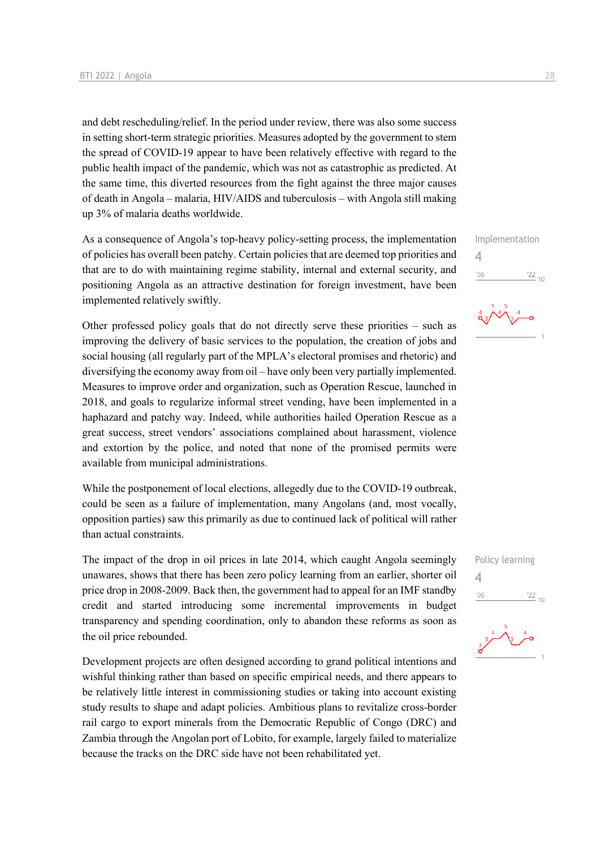and debt rescheduling/relief. In the period under review, there was also some success in setting short-term strategic priorities. Measures adopted by the government to stem the spread of COVID-19 appear to have been relatively effective with regard to the public health impact of the pandemic, which was not as catastrophic as predicted. At the same time, this diverted resources from the fight against the three major causes of death in Angola – malaria, HIV/AIDS and tuberculosis – with Angola still making up 3% of malaria deaths worldwide.

As a consequence of Angola's top-heavy policy-setting process, the implementation of policies has overall been patchy. Certain policies that are deemed top priorities and that are to do with maintaining regime stability, internal and external security, and positioning Angola as an attractive destination for foreign investment, have been implemented relatively swiftly.

Other professed policy goals that do not directly serve these priorities – such as improving the delivery of basic services to the population, the creation of jobs and social housing (all regularly part of the MPLA's electoral promises and rhetoric) and diversifying the economy away from oil – have only been very partially implemented. Measures to improve order and organization, such as Operation Rescue, launched in 2018, and goals to regularize informal street vending, have been implemented in a haphazard and patchy way. Indeed, while authorities hailed Operation Rescue as a great success, street vendors' associations complained about harassment, violence and extortion by the police, and noted that none of the promised permits were available from municipal administrations.

While the postponement of local elections, allegedly due to the COVID-19 outbreak, could be seen as a failure of implementation, many Angolans (and, most vocally, opposition parties) saw this primarily as due to continued lack of political will rather than actual constraints.

The impact of the drop in oil prices in late 2014, which caught Angola seemingly unawares, shows that there has been zero policy learning from an earlier, shorter oil price drop in 2008-2009. Back then, the government had to appeal for an IMF standby credit and started introducing some incremental improvements in budget transparency and spending coordination, only to abandon these reforms as soon as the oil price rebounded.

Development projects are often designed according to grand political intentions and wishful thinking rather than based on specific empirical needs, and there appears to be relatively little interest in commissioning studies or taking into account existing study results to shape and adapt policies. Ambitious plans to revitalize cross-border rail cargo to export minerals from the Democratic Republic of Congo (DRC) and Zambia through the Angolan port of Lobito, for example, largely failed to materialize because the tracks on the DRC side have not been rehabilitated yet.

Implementation 4  $\frac{22}{10}$  $'06$ 





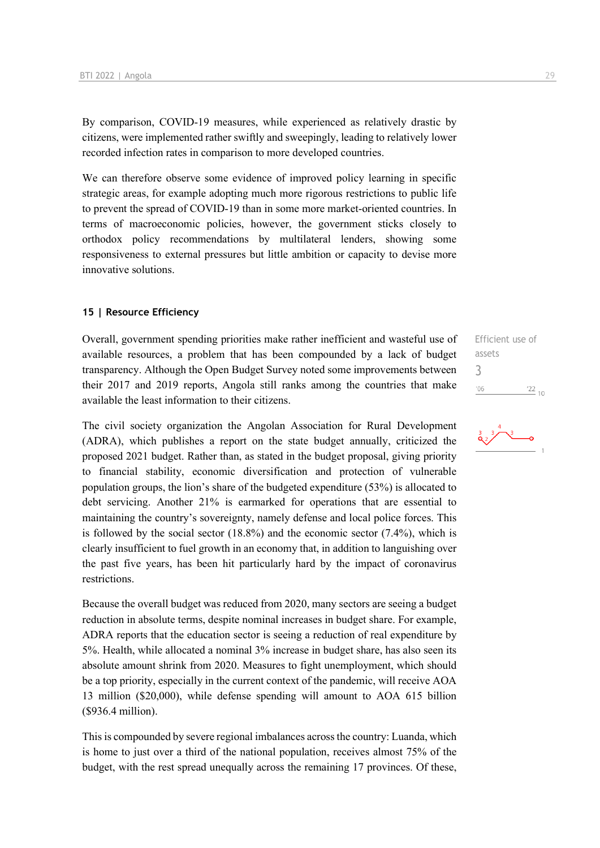By comparison, COVID-19 measures, while experienced as relatively drastic by citizens, were implemented rather swiftly and sweepingly, leading to relatively lower recorded infection rates in comparison to more developed countries.

We can therefore observe some evidence of improved policy learning in specific strategic areas, for example adopting much more rigorous restrictions to public life to prevent the spread of COVID-19 than in some more market-oriented countries. In terms of macroeconomic policies, however, the government sticks closely to orthodox policy recommendations by multilateral lenders, showing some responsiveness to external pressures but little ambition or capacity to devise more innovative solutions.

#### **15 | Resource Efficiency**

Overall, government spending priorities make rather inefficient and wasteful use of available resources, a problem that has been compounded by a lack of budget transparency. Although the Open Budget Survey noted some improvements between their 2017 and 2019 reports, Angola still ranks among the countries that make available the least information to their citizens.

The civil society organization the Angolan Association for Rural Development (ADRA), which publishes a report on the state budget annually, criticized the proposed 2021 budget. Rather than, as stated in the budget proposal, giving priority to financial stability, economic diversification and protection of vulnerable population groups, the lion's share of the budgeted expenditure (53%) is allocated to debt servicing. Another 21% is earmarked for operations that are essential to maintaining the country's sovereignty, namely defense and local police forces. This is followed by the social sector (18.8%) and the economic sector (7.4%), which is clearly insufficient to fuel growth in an economy that, in addition to languishing over the past five years, has been hit particularly hard by the impact of coronavirus restrictions.

Because the overall budget was reduced from 2020, many sectors are seeing a budget reduction in absolute terms, despite nominal increases in budget share. For example, ADRA reports that the education sector is seeing a reduction of real expenditure by 5%. Health, while allocated a nominal 3% increase in budget share, has also seen its absolute amount shrink from 2020. Measures to fight unemployment, which should be a top priority, especially in the current context of the pandemic, will receive AOA 13 million (\$20,000), while defense spending will amount to AOA 615 billion (\$936.4 million).

This is compounded by severe regional imbalances across the country: Luanda, which is home to just over a third of the national population, receives almost 75% of the budget, with the rest spread unequally across the remaining 17 provinces. Of these,

Efficient use of assets 3 $06'$  $^{22}_{-10}$ 

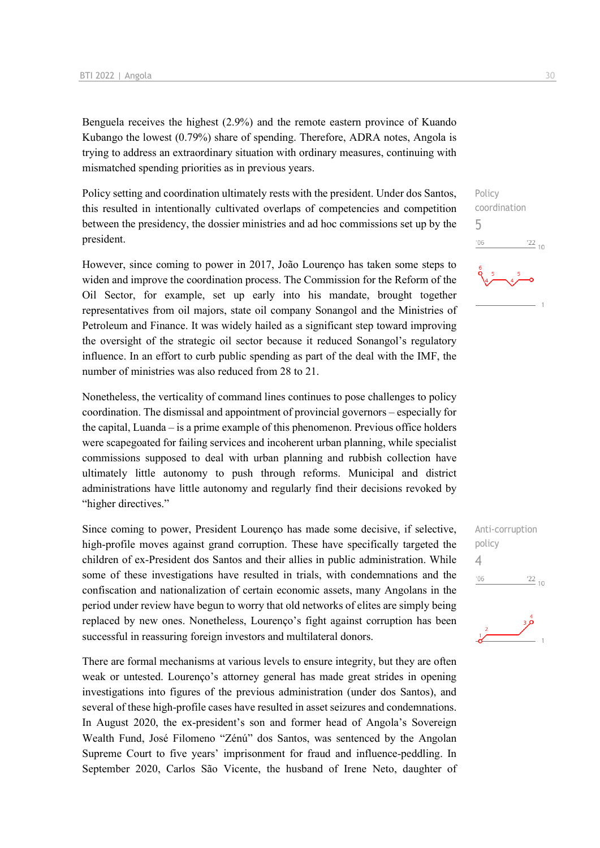Benguela receives the highest (2.9%) and the remote eastern province of Kuando Kubango the lowest (0.79%) share of spending. Therefore, ADRA notes, Angola is trying to address an extraordinary situation with ordinary measures, continuing with mismatched spending priorities as in previous years.

Policy setting and coordination ultimately rests with the president. Under dos Santos, this resulted in intentionally cultivated overlaps of competencies and competition between the presidency, the dossier ministries and ad hoc commissions set up by the president.

However, since coming to power in 2017, João Lourenço has taken some steps to widen and improve the coordination process. The Commission for the Reform of the Oil Sector, for example, set up early into his mandate, brought together representatives from oil majors, state oil company Sonangol and the Ministries of Petroleum and Finance. It was widely hailed as a significant step toward improving the oversight of the strategic oil sector because it reduced Sonangol's regulatory influence. In an effort to curb public spending as part of the deal with the IMF, the number of ministries was also reduced from 28 to 21.

Nonetheless, the verticality of command lines continues to pose challenges to policy coordination. The dismissal and appointment of provincial governors – especially for the capital, Luanda – is a prime example of this phenomenon. Previous office holders were scapegoated for failing services and incoherent urban planning, while specialist commissions supposed to deal with urban planning and rubbish collection have ultimately little autonomy to push through reforms. Municipal and district administrations have little autonomy and regularly find their decisions revoked by "higher directives."

Since coming to power, President Lourenço has made some decisive, if selective, high-profile moves against grand corruption. These have specifically targeted the children of ex-President dos Santos and their allies in public administration. While some of these investigations have resulted in trials, with condemnations and the confiscation and nationalization of certain economic assets, many Angolans in the period under review have begun to worry that old networks of elites are simply being replaced by new ones. Nonetheless, Lourenço's fight against corruption has been successful in reassuring foreign investors and multilateral donors.

There are formal mechanisms at various levels to ensure integrity, but they are often weak or untested. Lourenço's attorney general has made great strides in opening investigations into figures of the previous administration (under dos Santos), and several of these high-profile cases have resulted in asset seizures and condemnations. In August 2020, the ex-president's son and former head of Angola's Sovereign Wealth Fund, José Filomeno "Zénú" dos Santos, was sentenced by the Angolan Supreme Court to five years' imprisonment for fraud and influence-peddling. In September 2020, Carlos São Vicente, the husband of Irene Neto, daughter of Anti-corruption policy  $\Delta$  $^{\prime}06$  $\frac{22}{10}$ 

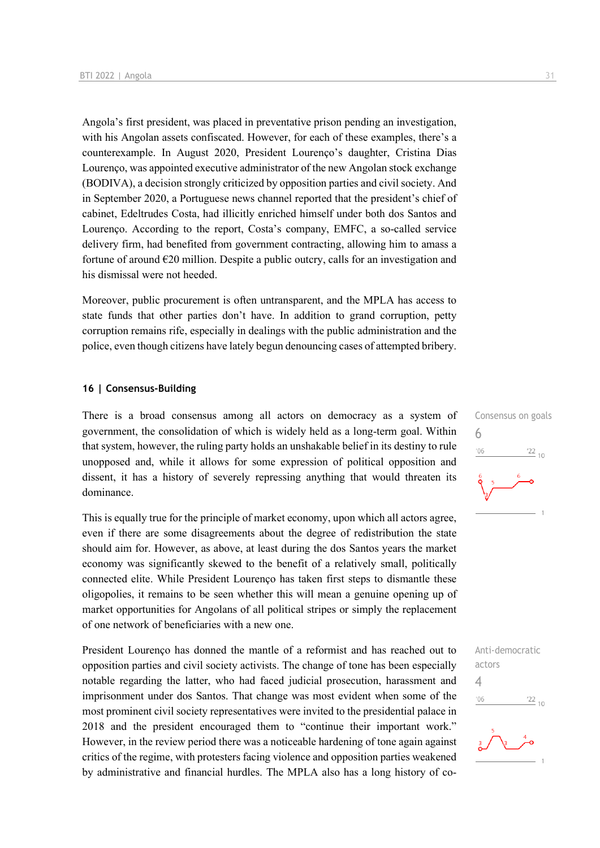Angola's first president, was placed in preventative prison pending an investigation, with his Angolan assets confiscated. However, for each of these examples, there's a counterexample. In August 2020, President Lourenço's daughter, Cristina Dias Lourenço, was appointed executive administrator of the new Angolan stock exchange (BODIVA), a decision strongly criticized by opposition parties and civil society. And in September 2020, a Portuguese news channel reported that the president's chief of cabinet, Edeltrudes Costa, had illicitly enriched himself under both dos Santos and Lourenço. According to the report, Costa's company, EMFC, a so-called service delivery firm, had benefited from government contracting, allowing him to amass a fortune of around  $E20$  million. Despite a public outcry, calls for an investigation and his dismissal were not heeded.

Moreover, public procurement is often untransparent, and the MPLA has access to state funds that other parties don't have. In addition to grand corruption, petty corruption remains rife, especially in dealings with the public administration and the police, even though citizens have lately begun denouncing cases of attempted bribery.

#### **16 | Consensus-Building**

There is a broad consensus among all actors on democracy as a system of government, the consolidation of which is widely held as a long-term goal. Within that system, however, the ruling party holds an unshakable belief in its destiny to rule unopposed and, while it allows for some expression of political opposition and dissent, it has a history of severely repressing anything that would threaten its dominance.

This is equally true for the principle of market economy, upon which all actors agree, even if there are some disagreements about the degree of redistribution the state should aim for. However, as above, at least during the dos Santos years the market economy was significantly skewed to the benefit of a relatively small, politically connected elite. While President Lourenço has taken first steps to dismantle these oligopolies, it remains to be seen whether this will mean a genuine opening up of market opportunities for Angolans of all political stripes or simply the replacement of one network of beneficiaries with a new one.

President Lourenço has donned the mantle of a reformist and has reached out to opposition parties and civil society activists. The change of tone has been especially notable regarding the latter, who had faced judicial prosecution, harassment and imprisonment under dos Santos. That change was most evident when some of the most prominent civil society representatives were invited to the presidential palace in 2018 and the president encouraged them to "continue their important work." However, in the review period there was a noticeable hardening of tone again against critics of the regime, with protesters facing violence and opposition parties weakened by administrative and financial hurdles. The MPLA also has a long history of co-



Anti-democratic actors 4 $\frac{22}{10}$  $06'$ 

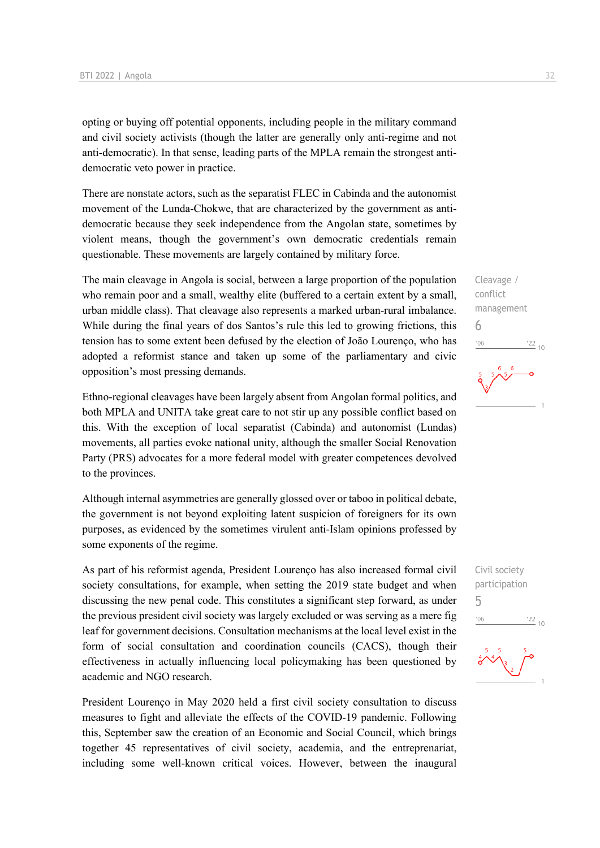opting or buying off potential opponents, including people in the military command and civil society activists (though the latter are generally only anti-regime and not anti-democratic). In that sense, leading parts of the MPLA remain the strongest antidemocratic veto power in practice.

There are nonstate actors, such as the separatist FLEC in Cabinda and the autonomist movement of the Lunda-Chokwe, that are characterized by the government as antidemocratic because they seek independence from the Angolan state, sometimes by violent means, though the government's own democratic credentials remain questionable. These movements are largely contained by military force.

The main cleavage in Angola is social, between a large proportion of the population who remain poor and a small, wealthy elite (buffered to a certain extent by a small, urban middle class). That cleavage also represents a marked urban-rural imbalance. While during the final years of dos Santos's rule this led to growing frictions, this tension has to some extent been defused by the election of João Lourenço, who has adopted a reformist stance and taken up some of the parliamentary and civic opposition's most pressing demands.

Ethno-regional cleavages have been largely absent from Angolan formal politics, and both MPLA and UNITA take great care to not stir up any possible conflict based on this. With the exception of local separatist (Cabinda) and autonomist (Lundas) movements, all parties evoke national unity, although the smaller Social Renovation Party (PRS) advocates for a more federal model with greater competences devolved to the provinces.

Although internal asymmetries are generally glossed over or taboo in political debate, the government is not beyond exploiting latent suspicion of foreigners for its own purposes, as evidenced by the sometimes virulent anti-Islam opinions professed by some exponents of the regime.

As part of his reformist agenda, President Lourenço has also increased formal civil society consultations, for example, when setting the 2019 state budget and when discussing the new penal code. This constitutes a significant step forward, as under the previous president civil society was largely excluded or was serving as a mere fig leaf for government decisions. Consultation mechanisms at the local level exist in the form of social consultation and coordination councils (CACS), though their effectiveness in actually influencing local policymaking has been questioned by academic and NGO research.

President Lourenço in May 2020 held a first civil society consultation to discuss measures to fight and alleviate the effects of the COVID-19 pandemic. Following this, September saw the creation of an Economic and Social Council, which brings together 45 representatives of civil society, academia, and the entreprenariat, including some well-known critical voices. However, between the inaugural

Cleavage / conflict management 6  $106$  $\frac{22}{10}$ 

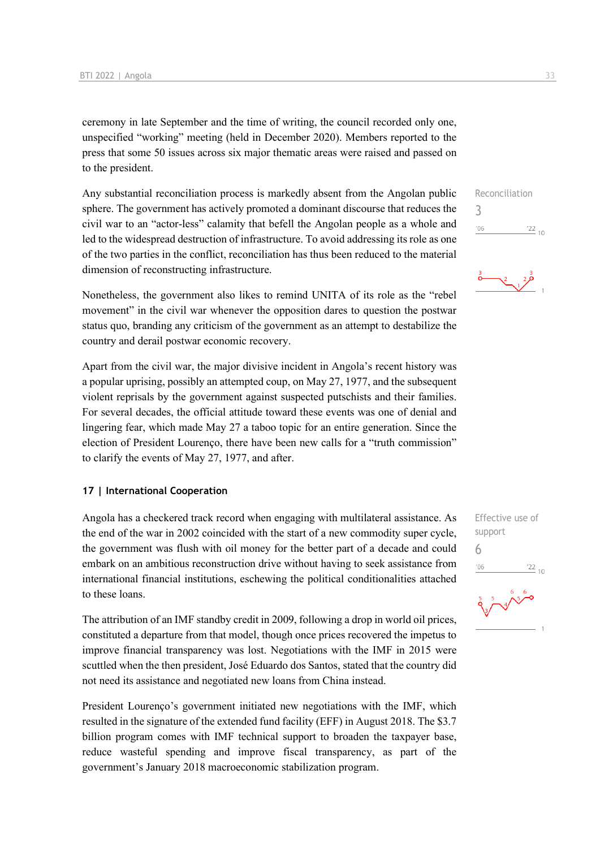ceremony in late September and the time of writing, the council recorded only one, unspecified "working" meeting (held in December 2020). Members reported to the press that some 50 issues across six major thematic areas were raised and passed on to the president.

Any substantial reconciliation process is markedly absent from the Angolan public sphere. The government has actively promoted a dominant discourse that reduces the civil war to an "actor-less" calamity that befell the Angolan people as a whole and led to the widespread destruction of infrastructure. To avoid addressing its role as one of the two parties in the conflict, reconciliation has thus been reduced to the material dimension of reconstructing infrastructure.

Nonetheless, the government also likes to remind UNITA of its role as the "rebel movement" in the civil war whenever the opposition dares to question the postwar status quo, branding any criticism of the government as an attempt to destabilize the country and derail postwar economic recovery.

Apart from the civil war, the major divisive incident in Angola's recent history was a popular uprising, possibly an attempted coup, on May 27, 1977, and the subsequent violent reprisals by the government against suspected putschists and their families. For several decades, the official attitude toward these events was one of denial and lingering fear, which made May 27 a taboo topic for an entire generation. Since the election of President Lourenço, there have been new calls for a "truth commission" to clarify the events of May 27, 1977, and after.

#### **17 | International Cooperation**

Angola has a checkered track record when engaging with multilateral assistance. As the end of the war in 2002 coincided with the start of a new commodity super cycle, the government was flush with oil money for the better part of a decade and could embark on an ambitious reconstruction drive without having to seek assistance from international financial institutions, eschewing the political conditionalities attached to these loans.

The attribution of an IMF standby credit in 2009, following a drop in world oil prices, constituted a departure from that model, though once prices recovered the impetus to improve financial transparency was lost. Negotiations with the IMF in 2015 were scuttled when the then president, José Eduardo dos Santos, stated that the country did not need its assistance and negotiated new loans from China instead.

President Lourenço's government initiated new negotiations with the IMF, which resulted in the signature of the extended fund facility (EFF) in August 2018. The \$3.7 billion program comes with IMF technical support to broaden the taxpayer base, reduce wasteful spending and improve fiscal transparency, as part of the government's January 2018 macroeconomic stabilization program.

3  $'06$  $\frac{22}{10}$ 

Reconciliation

 $\sum_{1}^{2}$ 

Effective use of support 6 $-06$  $\frac{22}{10}$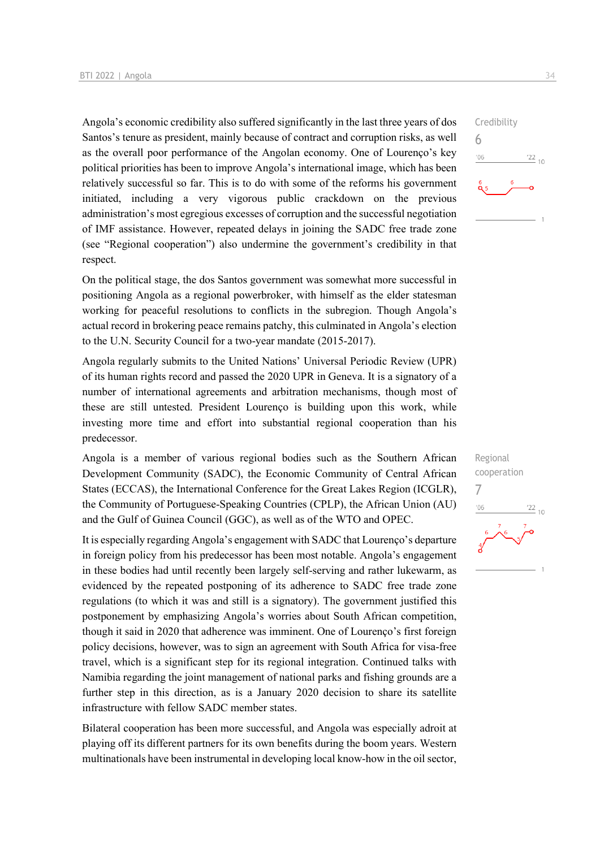Angola's economic credibility also suffered significantly in the last three years of dos Santos's tenure as president, mainly because of contract and corruption risks, as well as the overall poor performance of the Angolan economy. One of Lourenço's key political priorities has been to improve Angola's international image, which has been relatively successful so far. This is to do with some of the reforms his government initiated, including a very vigorous public crackdown on the previous administration's most egregious excesses of corruption and the successful negotiation of IMF assistance. However, repeated delays in joining the SADC free trade zone (see "Regional cooperation") also undermine the government's credibility in that respect.

On the political stage, the dos Santos government was somewhat more successful in positioning Angola as a regional powerbroker, with himself as the elder statesman working for peaceful resolutions to conflicts in the subregion. Though Angola's actual record in brokering peace remains patchy, this culminated in Angola's election to the U.N. Security Council for a two-year mandate (2015-2017).

Angola regularly submits to the United Nations' Universal Periodic Review (UPR) of its human rights record and passed the 2020 UPR in Geneva. It is a signatory of a number of international agreements and arbitration mechanisms, though most of these are still untested. President Lourenço is building upon this work, while investing more time and effort into substantial regional cooperation than his predecessor.

Angola is a member of various regional bodies such as the Southern African Development Community (SADC), the Economic Community of Central African States (ECCAS), the International Conference for the Great Lakes Region (ICGLR), the Community of Portuguese-Speaking Countries (CPLP), the African Union (AU) and the Gulf of Guinea Council (GGC), as well as of the WTO and OPEC.

It is especially regarding Angola's engagement with SADC that Lourenço's departure in foreign policy from his predecessor has been most notable. Angola's engagement in these bodies had until recently been largely self-serving and rather lukewarm, as evidenced by the repeated postponing of its adherence to SADC free trade zone regulations (to which it was and still is a signatory). The government justified this postponement by emphasizing Angola's worries about South African competition, though it said in 2020 that adherence was imminent. One of Lourenço's first foreign policy decisions, however, was to sign an agreement with South Africa for visa-free travel, which is a significant step for its regional integration. Continued talks with Namibia regarding the joint management of national parks and fishing grounds are a further step in this direction, as is a January 2020 decision to share its satellite infrastructure with fellow SADC member states.

Bilateral cooperation has been more successful, and Angola was especially adroit at playing off its different partners for its own benefits during the boom years. Western multinationals have been instrumental in developing local know-how in the oil sector,



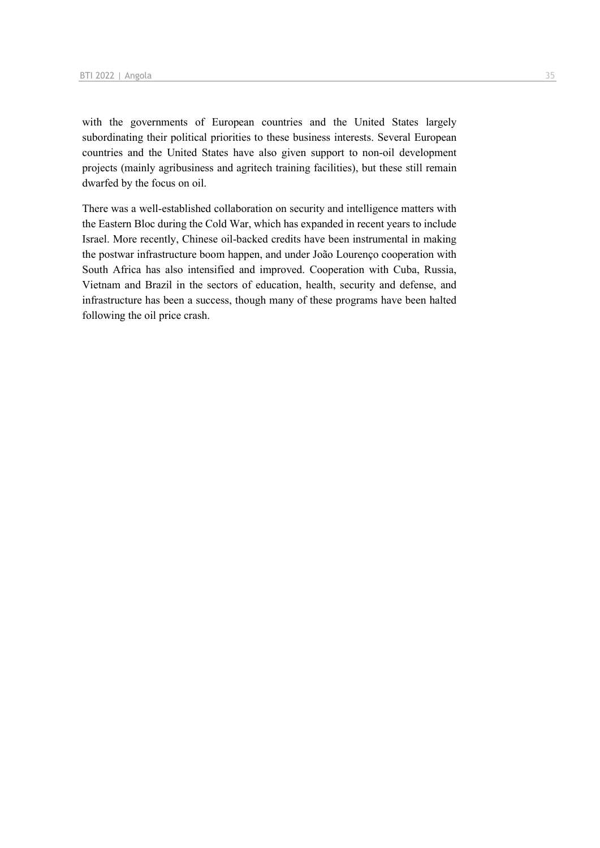with the governments of European countries and the United States largely subordinating their political priorities to these business interests. Several European countries and the United States have also given support to non-oil development projects (mainly agribusiness and agritech training facilities), but these still remain dwarfed by the focus on oil.

There was a well-established collaboration on security and intelligence matters with the Eastern Bloc during the Cold War, which has expanded in recent years to include Israel. More recently, Chinese oil-backed credits have been instrumental in making the postwar infrastructure boom happen, and under João Lourenço cooperation with South Africa has also intensified and improved. Cooperation with Cuba, Russia, Vietnam and Brazil in the sectors of education, health, security and defense, and infrastructure has been a success, though many of these programs have been halted following the oil price crash.